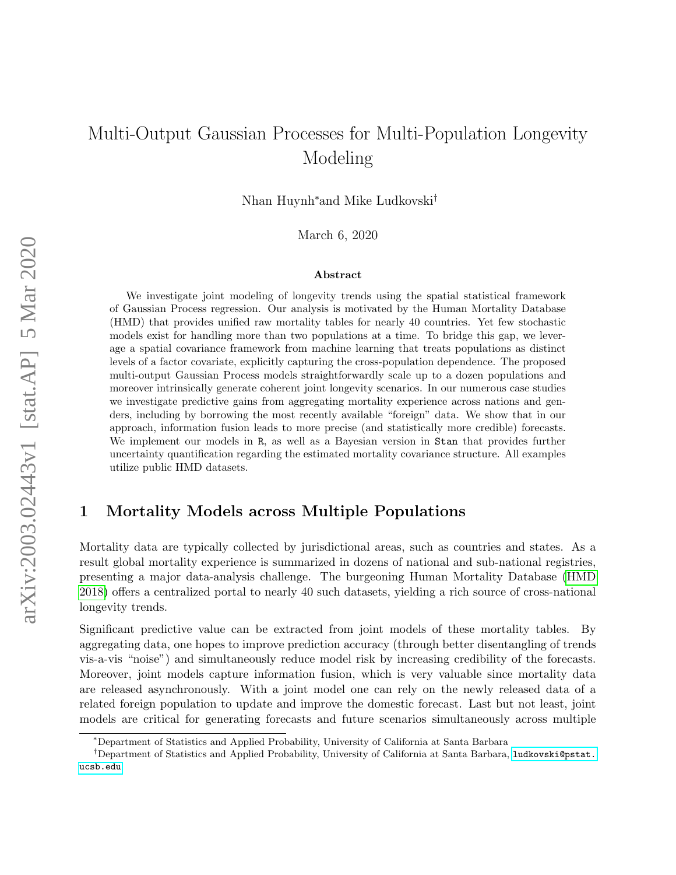# Multi-Output Gaussian Processes for Multi-Population Longevity Modeling

Nhan Huynh<sup>∗</sup>and Mike Ludkovski†

March 6, 2020

#### Abstract

We investigate joint modeling of longevity trends using the spatial statistical framework of Gaussian Process regression. Our analysis is motivated by the Human Mortality Database (HMD) that provides unified raw mortality tables for nearly 40 countries. Yet few stochastic models exist for handling more than two populations at a time. To bridge this gap, we leverage a spatial covariance framework from machine learning that treats populations as distinct levels of a factor covariate, explicitly capturing the cross-population dependence. The proposed multi-output Gaussian Process models straightforwardly scale up to a dozen populations and moreover intrinsically generate coherent joint longevity scenarios. In our numerous case studies we investigate predictive gains from aggregating mortality experience across nations and genders, including by borrowing the most recently available "foreign" data. We show that in our approach, information fusion leads to more precise (and statistically more credible) forecasts. We implement our models in R, as well as a Bayesian version in Stan that provides further uncertainty quantification regarding the estimated mortality covariance structure. All examples utilize public HMD datasets.

## 1 Mortality Models across Multiple Populations

Mortality data are typically collected by jurisdictional areas, such as countries and states. As a result global mortality experience is summarized in dozens of national and sub-national registries, presenting a major data-analysis challenge. The burgeoning Human Mortality Database [\(HMD](#page-24-0) [2018\)](#page-24-0) offers a centralized portal to nearly 40 such datasets, yielding a rich source of cross-national longevity trends.

Significant predictive value can be extracted from joint models of these mortality tables. By aggregating data, one hopes to improve prediction accuracy (through better disentangling of trends vis-a-vis "noise") and simultaneously reduce model risk by increasing credibility of the forecasts. Moreover, joint models capture information fusion, which is very valuable since mortality data are released asynchronously. With a joint model one can rely on the newly released data of a related foreign population to update and improve the domestic forecast. Last but not least, joint models are critical for generating forecasts and future scenarios simultaneously across multiple

<sup>∗</sup>Department of Statistics and Applied Probability, University of California at Santa Barbara

<sup>&</sup>lt;sup>†</sup>Department of Statistics and Applied Probability, University of California at Santa Barbara, [ludkovski@pstat.](ludkovski@pstat.ucsb.edu) [ucsb.edu](ludkovski@pstat.ucsb.edu)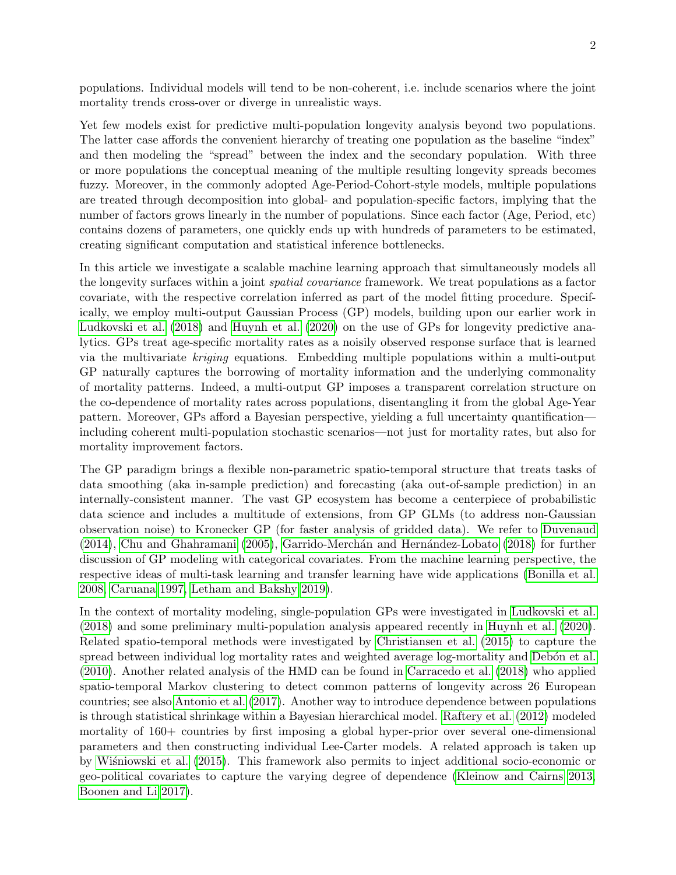populations. Individual models will tend to be non-coherent, i.e. include scenarios where the joint mortality trends cross-over or diverge in unrealistic ways.

Yet few models exist for predictive multi-population longevity analysis beyond two populations. The latter case affords the convenient hierarchy of treating one population as the baseline "index" and then modeling the "spread" between the index and the secondary population. With three or more populations the conceptual meaning of the multiple resulting longevity spreads becomes fuzzy. Moreover, in the commonly adopted Age-Period-Cohort-style models, multiple populations are treated through decomposition into global- and population-specific factors, implying that the number of factors grows linearly in the number of populations. Since each factor (Age, Period, etc) contains dozens of parameters, one quickly ends up with hundreds of parameters to be estimated, creating significant computation and statistical inference bottlenecks.

In this article we investigate a scalable machine learning approach that simultaneously models all the longevity surfaces within a joint spatial covariance framework. We treat populations as a factor covariate, with the respective correlation inferred as part of the model fitting procedure. Specifically, we employ multi-output Gaussian Process (GP) models, building upon our earlier work in [Ludkovski et al. \(2018\)](#page-25-0) and [Huynh et al. \(2020\)](#page-24-1) on the use of GPs for longevity predictive analytics. GPs treat age-specific mortality rates as a noisily observed response surface that is learned via the multivariate kriging equations. Embedding multiple populations within a multi-output GP naturally captures the borrowing of mortality information and the underlying commonality of mortality patterns. Indeed, a multi-output GP imposes a transparent correlation structure on the co-dependence of mortality rates across populations, disentangling it from the global Age-Year pattern. Moreover, GPs afford a Bayesian perspective, yielding a full uncertainty quantification including coherent multi-population stochastic scenarios—not just for mortality rates, but also for mortality improvement factors.

The GP paradigm brings a flexible non-parametric spatio-temporal structure that treats tasks of data smoothing (aka in-sample prediction) and forecasting (aka out-of-sample prediction) in an internally-consistent manner. The vast GP ecosystem has become a centerpiece of probabilistic data science and includes a multitude of extensions, from GP GLMs (to address non-Gaussian observation noise) to Kronecker GP (for faster analysis of gridded data). We refer to [Duvenaud](#page-24-2)  $(2014)$ , Chu and Ghahramani  $(2005)$ , Garrido-Merchán and Hernández-Lobato  $(2018)$  for further discussion of GP modeling with categorical covariates. From the machine learning perspective, the respective ideas of multi-task learning and transfer learning have wide applications [\(Bonilla et al.](#page-23-0) [2008,](#page-23-0) [Caruana 1997,](#page-24-5) [Letham and Bakshy 2019\)](#page-25-1).

In the context of mortality modeling, single-population GPs were investigated in [Ludkovski et al.](#page-25-0) [\(2018\)](#page-25-0) and some preliminary multi-population analysis appeared recently in [Huynh et al. \(2020\)](#page-24-1). Related spatio-temporal methods were investigated by [Christiansen et al. \(2015\)](#page-24-6) to capture the spread between individual log mortality rates and weighted average log-mortality and Debón et al. [\(2010\)](#page-24-7). Another related analysis of the HMD can be found in [Carracedo et al. \(2018\)](#page-24-8) who applied spatio-temporal Markov clustering to detect common patterns of longevity across 26 European countries; see also [Antonio et al. \(2017\)](#page-22-0). Another way to introduce dependence between populations is through statistical shrinkage within a Bayesian hierarchical model. [Raftery et al. \(2012\)](#page-25-2) modeled mortality of 160+ countries by first imposing a global hyper-prior over several one-dimensional parameters and then constructing individual Lee-Carter models. A related approach is taken up by Wisniowski et al. (2015). This framework also permits to inject additional socio-economic or geo-political covariates to capture the varying degree of dependence [\(Kleinow and Cairns 2013,](#page-24-9) [Boonen and Li 2017\)](#page-23-1).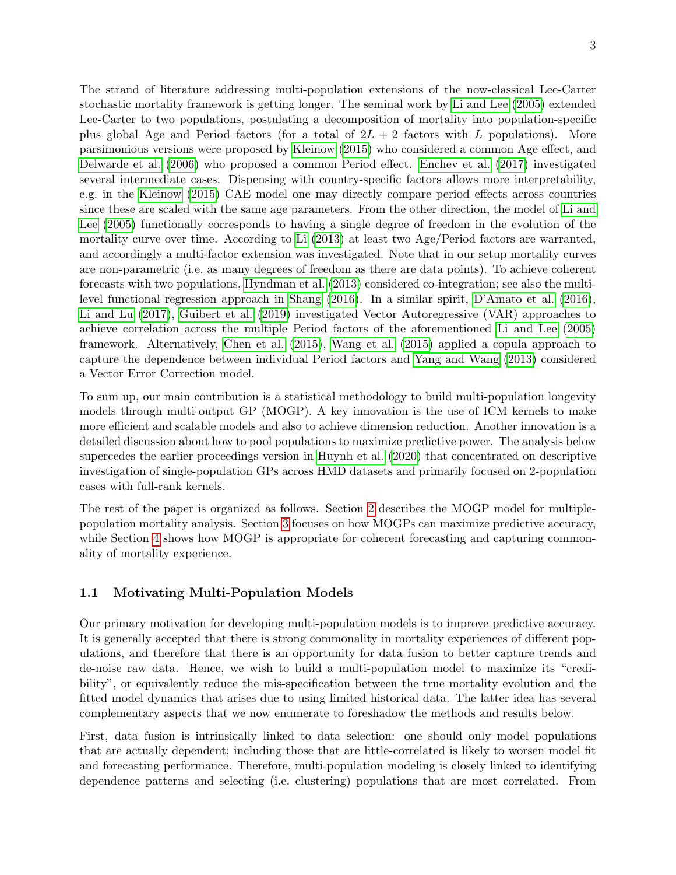The strand of literature addressing multi-population extensions of the now-classical Lee-Carter stochastic mortality framework is getting longer. The seminal work by [Li and Lee \(2005\)](#page-25-4) extended Lee-Carter to two populations, postulating a decomposition of mortality into population-specific plus global Age and Period factors (for a total of  $2L + 2$  factors with L populations). More parsimonious versions were proposed by [Kleinow \(2015\)](#page-24-10) who considered a common Age effect, and [Delwarde et al. \(2006\)](#page-24-11) who proposed a common Period effect. [Enchev et al. \(2017\)](#page-24-12) investigated several intermediate cases. Dispensing with country-specific factors allows more interpretability, e.g. in the [Kleinow \(2015\)](#page-24-10) CAE model one may directly compare period effects across countries since these are scaled with the same age parameters. From the other direction, the model of [Li and](#page-25-4) [Lee \(2005\)](#page-25-4) functionally corresponds to having a single degree of freedom in the evolution of the mortality curve over time. According to [Li \(2013\)](#page-25-5) at least two Age/Period factors are warranted, and accordingly a multi-factor extension was investigated. Note that in our setup mortality curves are non-parametric (i.e. as many degrees of freedom as there are data points). To achieve coherent forecasts with two populations, [Hyndman et al. \(2013\)](#page-24-13) considered co-integration; see also the multilevel functional regression approach in [Shang \(2016\)](#page-25-6). In a similar spirit, [D'Amato et al. \(2016\)](#page-24-14), [Li and Lu \(2017\)](#page-25-7), [Guibert et al. \(2019\)](#page-24-15) investigated Vector Autoregressive (VAR) approaches to achieve correlation across the multiple Period factors of the aforementioned [Li and Lee \(2005\)](#page-25-4) framework. Alternatively, [Chen et al. \(2015\)](#page-24-16), [Wang et al. \(2015\)](#page-25-8) applied a copula approach to capture the dependence between individual Period factors and [Yang and Wang \(2013\)](#page-25-9) considered a Vector Error Correction model.

To sum up, our main contribution is a statistical methodology to build multi-population longevity models through multi-output GP (MOGP). A key innovation is the use of ICM kernels to make more efficient and scalable models and also to achieve dimension reduction. Another innovation is a detailed discussion about how to pool populations to maximize predictive power. The analysis below supercedes the earlier proceedings version in [Huynh et al. \(2020\)](#page-24-1) that concentrated on descriptive investigation of single-population GPs across HMD datasets and primarily focused on 2-population cases with full-rank kernels.

The rest of the paper is organized as follows. Section [2](#page-4-0) describes the MOGP model for multiplepopulation mortality analysis. Section [3](#page-12-0) focuses on how MOGPs can maximize predictive accuracy, while Section [4](#page-18-0) shows how MOGP is appropriate for coherent forecasting and capturing commonality of mortality experience.

#### 1.1 Motivating Multi-Population Models

Our primary motivation for developing multi-population models is to improve predictive accuracy. It is generally accepted that there is strong commonality in mortality experiences of different populations, and therefore that there is an opportunity for data fusion to better capture trends and de-noise raw data. Hence, we wish to build a multi-population model to maximize its "credibility", or equivalently reduce the mis-specification between the true mortality evolution and the fitted model dynamics that arises due to using limited historical data. The latter idea has several complementary aspects that we now enumerate to foreshadow the methods and results below.

First, data fusion is intrinsically linked to data selection: one should only model populations that are actually dependent; including those that are little-correlated is likely to worsen model fit and forecasting performance. Therefore, multi-population modeling is closely linked to identifying dependence patterns and selecting (i.e. clustering) populations that are most correlated. From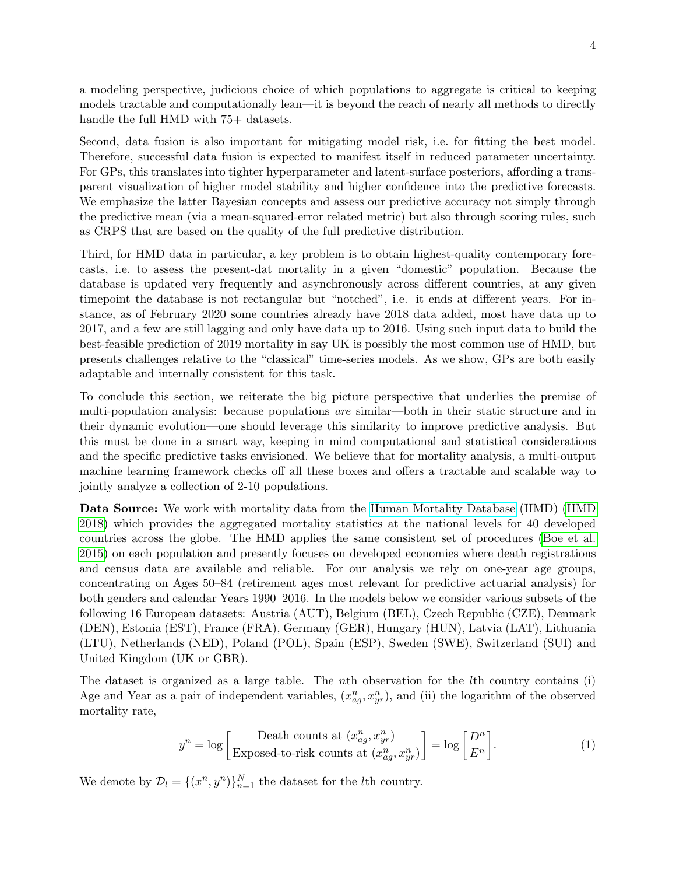a modeling perspective, judicious choice of which populations to aggregate is critical to keeping models tractable and computationally lean—it is beyond the reach of nearly all methods to directly handle the full HMD with  $75+$  datasets.

Second, data fusion is also important for mitigating model risk, i.e. for fitting the best model. Therefore, successful data fusion is expected to manifest itself in reduced parameter uncertainty. For GPs, this translates into tighter hyperparameter and latent-surface posteriors, affording a transparent visualization of higher model stability and higher confidence into the predictive forecasts. We emphasize the latter Bayesian concepts and assess our predictive accuracy not simply through the predictive mean (via a mean-squared-error related metric) but also through scoring rules, such as CRPS that are based on the quality of the full predictive distribution.

Third, for HMD data in particular, a key problem is to obtain highest-quality contemporary forecasts, i.e. to assess the present-dat mortality in a given "domestic" population. Because the database is updated very frequently and asynchronously across different countries, at any given timepoint the database is not rectangular but "notched", i.e. it ends at different years. For instance, as of February 2020 some countries already have 2018 data added, most have data up to 2017, and a few are still lagging and only have data up to 2016. Using such input data to build the best-feasible prediction of 2019 mortality in say UK is possibly the most common use of HMD, but presents challenges relative to the "classical" time-series models. As we show, GPs are both easily adaptable and internally consistent for this task.

To conclude this section, we reiterate the big picture perspective that underlies the premise of multi-population analysis: because populations are similar—both in their static structure and in their dynamic evolution—one should leverage this similarity to improve predictive analysis. But this must be done in a smart way, keeping in mind computational and statistical considerations and the specific predictive tasks envisioned. We believe that for mortality analysis, a multi-output machine learning framework checks off all these boxes and offers a tractable and scalable way to jointly analyze a collection of 2-10 populations.

Data Source: We work with mortality data from the [Human Mortality Database](https://www.mortality.org) (HMD) [\(HMD](#page-24-0) [2018\)](#page-24-0) which provides the aggregated mortality statistics at the national levels for 40 developed countries across the globe. The HMD applies the same consistent set of procedures [\(Boe et al.](#page-23-2) [2015\)](#page-23-2) on each population and presently focuses on developed economies where death registrations and census data are available and reliable. For our analysis we rely on one-year age groups, concentrating on Ages 50–84 (retirement ages most relevant for predictive actuarial analysis) for both genders and calendar Years 1990–2016. In the models below we consider various subsets of the following 16 European datasets: Austria (AUT), Belgium (BEL), Czech Republic (CZE), Denmark (DEN), Estonia (EST), France (FRA), Germany (GER), Hungary (HUN), Latvia (LAT), Lithuania (LTU), Netherlands (NED), Poland (POL), Spain (ESP), Sweden (SWE), Switzerland (SUI) and United Kingdom (UK or GBR).

The dataset is organized as a large table. The nth observation for the lth country contains (i) Age and Year as a pair of independent variables,  $(x_{ag}^n, x_{yr}^n)$ , and (ii) the logarithm of the observed mortality rate,

$$
y^{n} = \log \left[ \frac{\text{Death counts at } (x_{ag}^{n}, x_{yr}^{n})}{\text{Exposed-to-risk counts at } (x_{ag}^{n}, x_{yr}^{n})} \right] = \log \left[ \frac{D^{n}}{E^{n}} \right].
$$
 (1)

We denote by  $\mathcal{D}_l = \{(x^n, y^n)\}_{n=1}^N$  the dataset for the *l*th country.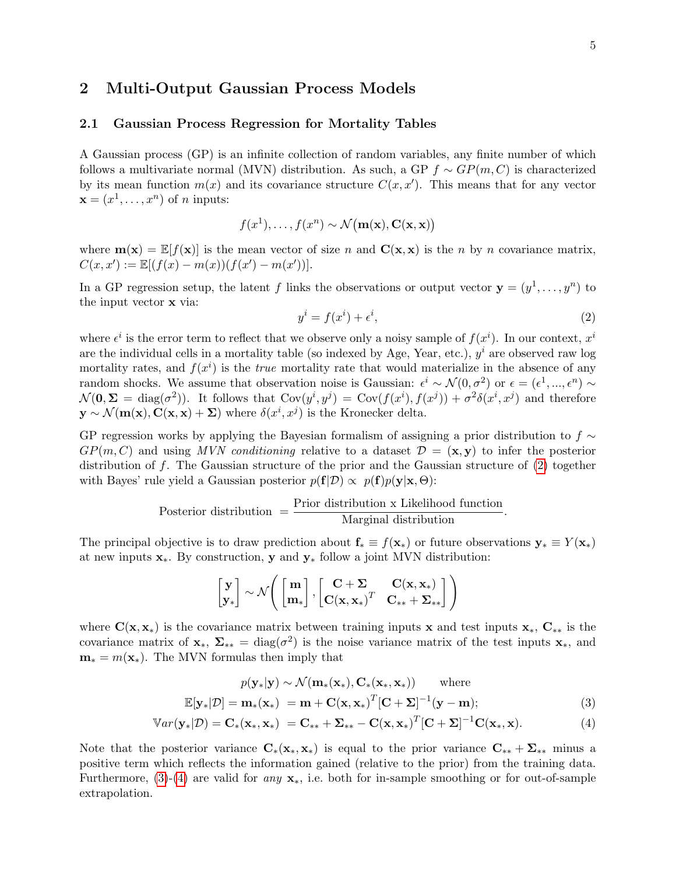## <span id="page-4-0"></span>2 Multi-Output Gaussian Process Models

#### 2.1 Gaussian Process Regression for Mortality Tables

A Gaussian process (GP) is an infinite collection of random variables, any finite number of which follows a multivariate normal (MVN) distribution. As such, a GP  $f \sim GP(m, C)$  is characterized by its mean function  $m(x)$  and its covariance structure  $C(x, x')$ . This means that for any vector  $\mathbf{x} = (x^1, \dots, x^n)$  of *n* inputs:

<span id="page-4-1"></span>
$$
f(x^1),..., f(x^n) \sim \mathcal{N}(\mathbf{m}(\mathbf{x}), \mathbf{C}(\mathbf{x}, \mathbf{x}))
$$

where  $\mathbf{m}(\mathbf{x}) = \mathbb{E}[f(\mathbf{x})]$  is the mean vector of size n and  $\mathbf{C}(\mathbf{x}, \mathbf{x})$  is the n by n covariance matrix,  $C(x, x') := \mathbb{E}[(f(x) - m(x))(f(x') - m(x'))].$ 

In a GP regression setup, the latent f links the observations or output vector  $\mathbf{y} = (y^1, \dots, y^n)$  to the input vector x via:

$$
y^i = f(x^i) + \epsilon^i,\tag{2}
$$

where  $\epsilon^i$  is the error term to reflect that we observe only a noisy sample of  $f(x^i)$ . In our context,  $x^i$ are the individual cells in a mortality table (so indexed by Age, Year, etc.),  $y^i$  are observed raw log mortality rates, and  $f(x^i)$  is the *true* mortality rate that would materialize in the absence of any random shocks. We assume that observation noise is Gaussian:  $\epsilon^i \sim \mathcal{N}(0, \sigma^2)$  or  $\epsilon = (\epsilon^1, ..., \epsilon^n) \sim$  $\mathcal{N}(\mathbf{0}, \mathbf{\Sigma}) = \text{diag}(\sigma^2)$ . It follows that  $\text{Cov}(y^i, y^j) = \text{Cov}(f(x^i), f(x^j)) + \sigma^2 \delta(x^i, x^j)$  and therefore  $\mathbf{y} \sim \mathcal{N}(\mathbf{m}(\mathbf{x}), \mathbf{C}(\mathbf{x}, \mathbf{x}) + \mathbf{\Sigma})$  where  $\delta(x^i, x^j)$  is the Kronecker delta.

GP regression works by applying the Bayesian formalism of assigning a prior distribution to  $f \sim$  $GP(m, C)$  and using MVN conditioning relative to a dataset  $\mathcal{D} = (\mathbf{x}, \mathbf{y})$  to infer the posterior distribution of f. The Gaussian structure of the prior and the Gaussian structure of [\(2\)](#page-4-1) together with Bayes' rule yield a Gaussian posterior  $p(\mathbf{f}|\mathcal{D}) \propto p(\mathbf{f})p(\mathbf{y}|\mathbf{x}, \Theta)$ :

Posterior distribution 
$$
=
$$
  $\frac{Prior distribution \times Likelihood function}{Marginal distribution}$ .

The principal objective is to draw prediction about  $f_* \equiv f(x_*)$  or future observations  $y_* \equiv Y(x_*)$ at new inputs  $x_*$ . By construction, y and  $y_*$  follow a joint MVN distribution:

<span id="page-4-3"></span><span id="page-4-2"></span>
$$
\begin{bmatrix} \mathbf{y} \\ \mathbf{y}_* \end{bmatrix} \sim \mathcal{N} \Bigg( \begin{bmatrix} \mathbf{m} \\ \mathbf{m}_* \end{bmatrix}, \begin{bmatrix} \mathbf{C} + \boldsymbol{\Sigma} & \mathbf{C}(\mathbf{x}, \mathbf{x}_*) \\ \mathbf{C}(\mathbf{x}, \mathbf{x}_*)^T & \mathbf{C}_{**} + \boldsymbol{\Sigma}_{**} \end{bmatrix} \Bigg)
$$

where  $C(x, x_*)$  is the covariance matrix between training inputs x and test inputs  $x_*$ ,  $C_{**}$  is the covariance matrix of  $\mathbf{x}_{*}$ ,  $\Sigma_{**} = \text{diag}(\sigma^2)$  is the noise variance matrix of the test inputs  $\mathbf{x}_{*}$ , and  $\mathbf{m}_* = m(\mathbf{x}_*)$ . The MVN formulas then imply that

$$
p(\mathbf{y}_{*}|\mathbf{y}) \sim \mathcal{N}(\mathbf{m}_{*}(\mathbf{x}_{*}), \mathbf{C}_{*}(\mathbf{x}_{*}, \mathbf{x}_{*})) \quad \text{where}
$$
  

$$
\mathbb{E}[\mathbf{y}_{*}|\mathcal{D}] = \mathbf{m}_{*}(\mathbf{x}_{*}) = \mathbf{m} + \mathbf{C}(\mathbf{x}, \mathbf{x}_{*})^{T}[\mathbf{C} + \mathbf{\Sigma}]^{-1}(\mathbf{y} - \mathbf{m});
$$
 (3)

$$
\mathbb{V}ar(\mathbf{y}_{*}|\mathcal{D})=\mathbf{C}_{*}(\mathbf{x}_{*},\mathbf{x}_{*})=\mathbf{C}_{**}+\mathbf{\Sigma}_{**}-\mathbf{C}(\mathbf{x},\mathbf{x}_{*})^{T}[\mathbf{C}+\mathbf{\Sigma}]^{-1}\mathbf{C}(\mathbf{x}_{*},\mathbf{x}).
$$
\n(4)

Note that the posterior variance  $C_*(x_*, x_*)$  is equal to the prior variance  $C_{**} + \Sigma_{**}$  minus a positive term which reflects the information gained (relative to the prior) from the training data. Furthermore,  $(3)-(4)$  $(3)-(4)$  are valid for any  $\mathbf{x}_*$ , i.e. both for in-sample smoothing or for out-of-sample extrapolation.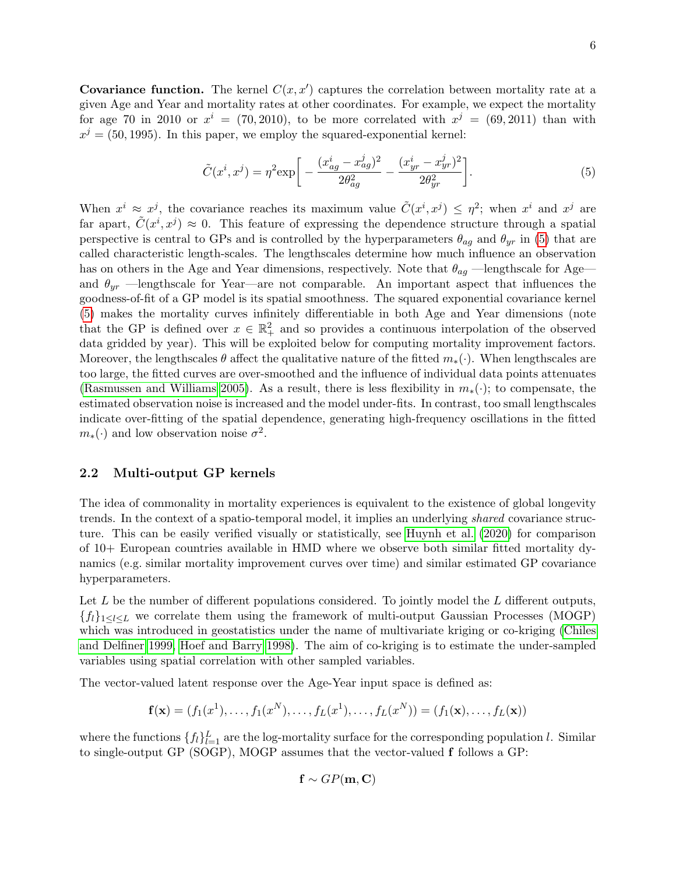Covariance function. The kernel  $C(x, x')$  captures the correlation between mortality rate at a given Age and Year and mortality rates at other coordinates. For example, we expect the mortality for age 70 in 2010 or  $x^i = (70, 2010)$ , to be more correlated with  $x^j = (69, 2011)$  than with  $x^{j} = (50, 1995)$ . In this paper, we employ the squared-exponential kernel:

<span id="page-5-0"></span>
$$
\tilde{C}(x^{i}, x^{j}) = \eta^{2} \exp\bigg[ -\frac{(x_{ag}^{i} - x_{ag}^{j})^{2}}{2\theta_{ag}^{2}} - \frac{(x_{yr}^{i} - x_{yr}^{j})^{2}}{2\theta_{yr}^{2}} \bigg]. \tag{5}
$$

When  $x^i \approx x^j$ , the covariance reaches its maximum value  $\tilde{C}(x^i, x^j) \leq \eta^2$ ; when  $x^i$  and  $x^j$  are far apart,  $\tilde{C}(x^i, x^j) \approx 0$ . This feature of expressing the dependence structure through a spatial perspective is central to GPs and is controlled by the hyperparameters  $\theta_{aq}$  and  $\theta_{yr}$  in [\(5\)](#page-5-0) that are called characteristic length-scales. The lengthscales determine how much influence an observation has on others in the Age and Year dimensions, respectively. Note that  $\theta_{aa}$  —lengthscale for Age and  $\theta_{yr}$  —lengthscale for Year—are not comparable. An important aspect that influences the goodness-of-fit of a GP model is its spatial smoothness. The squared exponential covariance kernel [\(5\)](#page-5-0) makes the mortality curves infinitely differentiable in both Age and Year dimensions (note that the GP is defined over  $x \in \mathbb{R}^2_+$  and so provides a continuous interpolation of the observed data gridded by year). This will be exploited below for computing mortality improvement factors. Moreover, the lengthscales  $\theta$  affect the qualitative nature of the fitted  $m_*(\cdot)$ . When lengthscales are too large, the fitted curves are over-smoothed and the influence of individual data points attenuates [\(Rasmussen and Williams 2005\)](#page-25-10). As a result, there is less flexibility in  $m_*(\cdot)$ ; to compensate, the estimated observation noise is increased and the model under-fits. In contrast, too small lengthscales indicate over-fitting of the spatial dependence, generating high-frequency oscillations in the fitted  $m_*(.)$  and low observation noise  $\sigma^2$ .

## 2.2 Multi-output GP kernels

The idea of commonality in mortality experiences is equivalent to the existence of global longevity trends. In the context of a spatio-temporal model, it implies an underlying shared covariance structure. This can be easily verified visually or statistically, see [Huynh et al. \(2020\)](#page-24-1) for comparison of 10+ European countries available in HMD where we observe both similar fitted mortality dynamics (e.g. similar mortality improvement curves over time) and similar estimated GP covariance hyperparameters.

Let  $L$  be the number of different populations considered. To jointly model the  $L$  different outputs,  ${f_l}_{1\leq l\leq L}$  we correlate them using the framework of multi-output Gaussian Processes (MOGP) which was introduced in geostatistics under the name of multivariate kriging or co-kriging [\(Chiles](#page-24-17) [and Delfiner 1999,](#page-24-17) [Hoef and Barry 1998\)](#page-24-18). The aim of co-kriging is to estimate the under-sampled variables using spatial correlation with other sampled variables.

The vector-valued latent response over the Age-Year input space is defined as:

$$
\mathbf{f}(\mathbf{x}) = (f_1(x^1), \dots, f_1(x^N), \dots, f_L(x^1), \dots, f_L(x^N)) = (f_1(\mathbf{x}), \dots, f_L(\mathbf{x}))
$$

where the functions  $\{f_l\}_{l=1}^L$  are the log-mortality surface for the corresponding population l. Similar to single-output GP (SOGP), MOGP assumes that the vector-valued f follows a GP:

$$
\mathbf{f} \sim GP(\mathbf{m}, \mathbf{C})
$$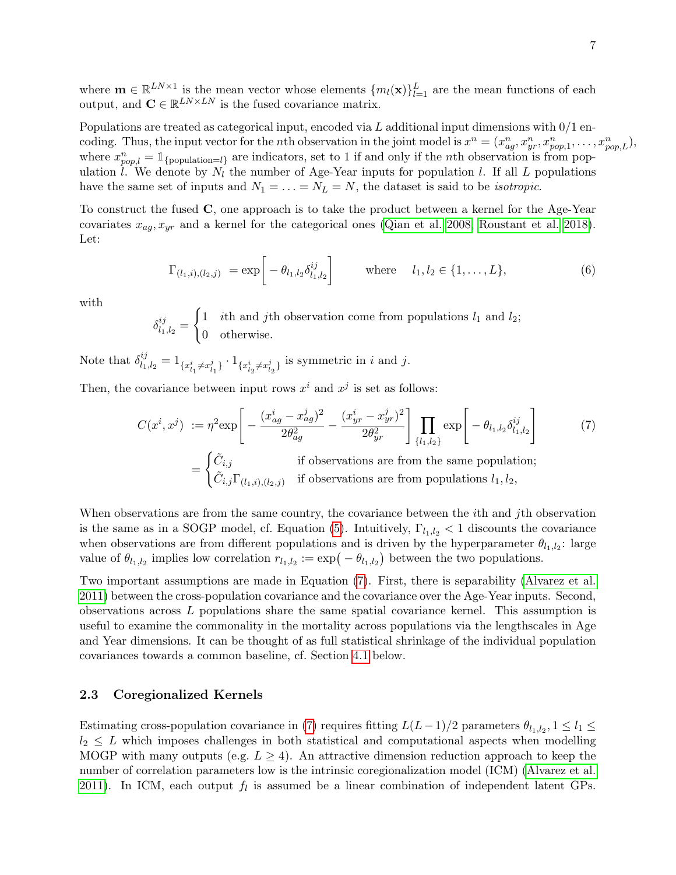where  $\mathbf{m} \in \mathbb{R}^{LN \times 1}$  is the mean vector whose elements  $\{m_l(\mathbf{x})\}_{l=1}^L$  are the mean functions of each output, and  $\mathbf{C} \in \mathbb{R}^{LN \times LN}$  is the fused covariance matrix.

Populations are treated as categorical input, encoded via  $L$  additional input dimensions with  $0/1$  encoding. Thus, the input vector for the *n*th observation in the joint model is  $x^n = (x^n_{ag}, x^n_{yr}, x^n_{pop,1}, \ldots, x^n_{pop,L}),$ where  $x_{pop,l}^n = \mathbb{1}_{\{population=l\}}$  are indicators, set to 1 if and only if the *n*th observation is from population  $\hat{l}$ . We denote by  $N_l$  the number of Age-Year inputs for population l. If all L populations have the same set of inputs and  $N_1 = \ldots = N_L = N$ , the dataset is said to be *isotropic*.

To construct the fused C, one approach is to take the product between a kernel for the Age-Year covariates  $x_{aq}, x_{yr}$  and a kernel for the categorical ones [\(Qian et al. 2008,](#page-25-11) [Roustant et al. 2018\)](#page-25-12). Let:

$$
\Gamma_{(l_1,i),(l_2,j)} = \exp\bigg[-\theta_{l_1,l_2}\delta_{l_1,l_2}^{ij}\bigg] \qquad \text{where} \quad l_1,l_2 \in \{1,\ldots,L\},\tag{6}
$$

with

<span id="page-6-0"></span> $\delta^{ij}_{l_1}$  $\frac{\imath\jmath_{l_1,l_2}}{\imath_1\jmath_2} =$  $\int 1$  *i*th and *j*th observation come from populations  $l_1$  and  $l_2$ ; 0 otherwise.

Note that  $\delta_l^{ij}$  $\mathcal{L}_{l_1,l_2}^{ij} = 1_{\{x_{l_1}^i \neq x_{l_1}^j\}} \cdot 1_{\{x_{l_2}^i \neq x_{l_2}^j\}}$  is symmetric in *i* and *j*.

Then, the covariance between input rows  $x^i$  and  $x^j$  is set as follows:

$$
C(x^i, x^j) := \eta^2 \exp\left[-\frac{(x_{ag}^i - x_{ag}^j)^2}{2\theta_{ag}^2} - \frac{(x_{yr}^i - x_{yr}^j)^2}{2\theta_{gr}^2}\right] \prod_{\{l_1, l_2\}} \exp\left[-\theta_{l_1, l_2} \delta_{l_1, l_2}^{ij}\right]
$$
\n
$$
= \begin{cases} \tilde{C}_{i,j} & \text{if observations are from the same population;}\\ \tilde{C}_{i,j} \Gamma_{(l_1, i), (l_2, j)} & \text{if observations are from populations } l_1, l_2, \end{cases} \tag{7}
$$

When observations are from the same country, the covariance between the *i*th and *j*th observation is the same as in a SOGP model, cf. Equation [\(5\)](#page-5-0). Intuitively,  $\Gamma_{l_1,l_2}$  < 1 discounts the covariance when observations are from different populations and is driven by the hyperparameter  $\theta_{l_1,l_2}$ : large value of  $\theta_{l_1,l_2}$  implies low correlation  $r_{l_1,l_2} := \exp(-\theta_{l_1,l_2})$  between the two populations.

Two important assumptions are made in Equation [\(7\)](#page-6-0). First, there is separability [\(Alvarez et al.](#page-22-1) [2011\)](#page-22-1) between the cross-population covariance and the covariance over the Age-Year inputs. Second, observations across L populations share the same spatial covariance kernel. This assumption is useful to examine the commonality in the mortality across populations via the lengthscales in Age and Year dimensions. It can be thought of as full statistical shrinkage of the individual population covariances towards a common baseline, cf. Section [4.1](#page-18-1) below.

### 2.3 Coregionalized Kernels

Estimating cross-population covariance in [\(7\)](#page-6-0) requires fitting  $L(L-1)/2$  parameters  $\theta_{l_1,l_2}, 1 \leq l_1 \leq$  $l_2 \leq L$  which imposes challenges in both statistical and computational aspects when modelling MOGP with many outputs (e.g.  $L \geq 4$ ). An attractive dimension reduction approach to keep the number of correlation parameters low is the intrinsic coregionalization model (ICM) [\(Alvarez et al.](#page-22-1) [2011\)](#page-22-1). In ICM, each output  $f_l$  is assumed be a linear combination of independent latent GPs.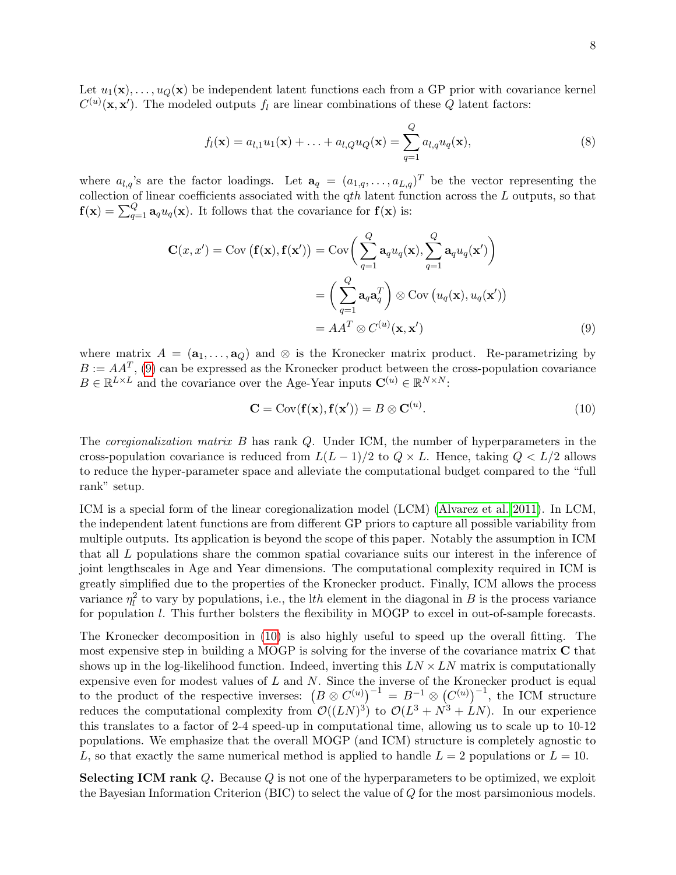Let  $u_1(\mathbf{x}), \ldots, u_O(\mathbf{x})$  be independent latent functions each from a GP prior with covariance kernel  $C^{(u)}(\mathbf{x}, \mathbf{x}')$ . The modeled outputs  $f_l$  are linear combinations of these Q latent factors:

$$
f_l(\mathbf{x}) = a_{l,1}u_1(\mathbf{x}) + \ldots + a_{l,Q}u_Q(\mathbf{x}) = \sum_{q=1}^{Q} a_{l,q}u_q(\mathbf{x}),
$$
\n(8)

where  $a_{l,q}$ 's are the factor loadings. Let  $\mathbf{a}_q = (a_{1,q}, \ldots, a_{L,q})^T$  be the vector representing the collection of linear coefficients associated with the  $qth$  latent function across the  $L$  outputs, so that  $f(\mathbf{x}) = \sum_{q=1}^{Q} \mathbf{a}_q u_q(\mathbf{x})$ . It follows that the covariance for  $f(\mathbf{x})$  is:

$$
\mathbf{C}(x, x') = \text{Cov}(\mathbf{f}(\mathbf{x}), \mathbf{f}(\mathbf{x}')) = \text{Cov}\bigg(\sum_{q=1}^{Q} \mathbf{a}_q u_q(\mathbf{x}), \sum_{q=1}^{Q} \mathbf{a}_q u_q(\mathbf{x}')\bigg)
$$

$$
= \bigg(\sum_{q=1}^{Q} \mathbf{a}_q \mathbf{a}_q^T\bigg) \otimes \text{Cov}\left(u_q(\mathbf{x}), u_q(\mathbf{x}')\right)
$$

$$
= AA^T \otimes C^{(u)}(\mathbf{x}, \mathbf{x}')
$$
(9)

where matrix  $A = (\mathbf{a}_1, \dots, \mathbf{a}_Q)$  and  $\otimes$  is the Kronecker matrix product. Re-parametrizing by  $B := AA^T$ , [\(9\)](#page-7-0) can be expressed as the Kronecker product between the cross-population covariance  $B \in \mathbb{R}^{L \times L}$  and the covariance over the Age-Year inputs  $\mathbf{C}^{(u)} \in \mathbb{R}^{N \times N}$ :

<span id="page-7-1"></span><span id="page-7-0"></span>
$$
\mathbf{C} = \text{Cov}(\mathbf{f}(\mathbf{x}), \mathbf{f}(\mathbf{x}')) = B \otimes \mathbf{C}^{(u)}.
$$
 (10)

The *coregionalization matrix B* has rank Q. Under ICM, the number of hyperparameters in the cross-population covariance is reduced from  $L(L-1)/2$  to  $Q \times L$ . Hence, taking  $Q \lt L/2$  allows to reduce the hyper-parameter space and alleviate the computational budget compared to the "full rank" setup.

ICM is a special form of the linear coregionalization model (LCM) [\(Alvarez et al. 2011\)](#page-22-1). In LCM, the independent latent functions are from different GP priors to capture all possible variability from multiple outputs. Its application is beyond the scope of this paper. Notably the assumption in ICM that all L populations share the common spatial covariance suits our interest in the inference of joint lengthscales in Age and Year dimensions. The computational complexity required in ICM is greatly simplified due to the properties of the Kronecker product. Finally, ICM allows the process variance  $\eta_l^2$  to vary by populations, i.e., the lth element in the diagonal in B is the process variance for population *l*. This further bolsters the flexibility in MOGP to excel in out-of-sample forecasts.

The Kronecker decomposition in [\(10\)](#page-7-1) is also highly useful to speed up the overall fitting. The most expensive step in building a MOGP is solving for the inverse of the covariance matrix C that shows up in the log-likelihood function. Indeed, inverting this  $LN \times LN$  matrix is computationally expensive even for modest values of  $L$  and  $N$ . Since the inverse of the Kronecker product is equal to the product of the respective inverses:  $(B \otimes C^{(u)})^{-1} = B^{-1} \otimes (C^{(u)})^{-1}$ , the ICM structure reduces the computational complexity from  $\mathcal{O}((LN)^3)$  to  $\mathcal{O}(L^3 + N^3 + LN)$ . In our experience this translates to a factor of 2-4 speed-up in computational time, allowing us to scale up to 10-12 populations. We emphasize that the overall MOGP (and ICM) structure is completely agnostic to L, so that exactly the same numerical method is applied to handle  $L = 2$  populations or  $L = 10$ .

Selecting ICM rank Q. Because Q is not one of the hyperparameters to be optimized, we exploit the Bayesian Information Criterion (BIC) to select the value of Q for the most parsimonious models.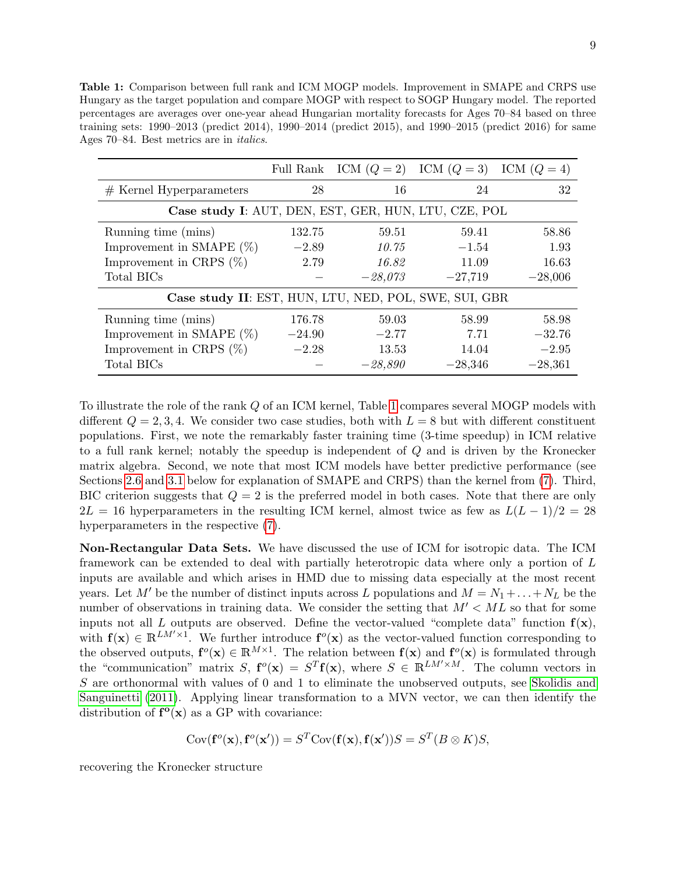<span id="page-8-0"></span>Table 1: Comparison between full rank and ICM MOGP models. Improvement in SMAPE and CRPS use Hungary as the target population and compare MOGP with respect to SOGP Hungary model. The reported percentages are averages over one-year ahead Hungarian mortality forecasts for Ages 70–84 based on three training sets: 1990–2013 (predict 2014), 1990–2014 (predict 2015), and 1990–2015 (predict 2016) for same Ages 70–84. Best metrics are in italics.

|                                                       |          |           | Full Rank ICM $(Q = 2)$ ICM $(Q = 3)$ ICM $(Q = 4)$ |           |  |  |  |
|-------------------------------------------------------|----------|-----------|-----------------------------------------------------|-----------|--|--|--|
| $#$ Kernel Hyperparameters                            | 28       | 16        | 24                                                  | 32        |  |  |  |
| Case study I: AUT, DEN, EST, GER, HUN, LTU, CZE, POL  |          |           |                                                     |           |  |  |  |
| Running time (mins)                                   | 132.75   | 59.51     | 59.41                                               | 58.86     |  |  |  |
| Improvement in SMAPE $(\%)$                           | $-2.89$  | 10.75     | $-1.54$                                             | 1.93      |  |  |  |
| Improvement in CRPS $(\%)$                            | 2.79     | 16.82     | 11.09                                               | 16.63     |  |  |  |
| Total BICs                                            |          | $-28,073$ | $-27,719$                                           | $-28,006$ |  |  |  |
| Case study II: EST, HUN, LTU, NED, POL, SWE, SUI, GBR |          |           |                                                     |           |  |  |  |
| Running time (mins)                                   | 176.78   | 59.03     | 58.99                                               | 58.98     |  |  |  |
| Improvement in SMAPE $(\%)$                           | $-24.90$ | $-2.77$   | 7.71                                                | $-32.76$  |  |  |  |
| Improvement in CRPS $(\%)$                            | $-2.28$  | 13.53     | 14.04                                               | $-2.95$   |  |  |  |
| Total BICs                                            |          | $-28,890$ | $-28,346$                                           | $-28,361$ |  |  |  |

To illustrate the role of the rank Q of an ICM kernel, Table [1](#page-8-0) compares several MOGP models with different  $Q = 2, 3, 4$ . We consider two case studies, both with  $L = 8$  but with different constituent populations. First, we note the remarkably faster training time (3-time speedup) in ICM relative to a full rank kernel; notably the speedup is independent of Q and is driven by the Kronecker matrix algebra. Second, we note that most ICM models have better predictive performance (see Sections [2.6](#page-11-0) and [3.1](#page-14-0) below for explanation of SMAPE and CRPS) than the kernel from [\(7\)](#page-6-0). Third, BIC criterion suggests that  $Q = 2$  is the preferred model in both cases. Note that there are only  $2L = 16$  hyperparameters in the resulting ICM kernel, almost twice as few as  $L(L-1)/2 = 28$ hyperparameters in the respective [\(7\)](#page-6-0).

Non-Rectangular Data Sets. We have discussed the use of ICM for isotropic data. The ICM framework can be extended to deal with partially heterotropic data where only a portion of L inputs are available and which arises in HMD due to missing data especially at the most recent years. Let M' be the number of distinct inputs across L populations and  $M = N_1 + ... + N_L$  be the number of observations in training data. We consider the setting that  $M' < ML$  so that for some inputs not all L outputs are observed. Define the vector-valued "complete data" function  $f(x)$ , with  $f(x) \in \mathbb{R}^{LM' \times 1}$ . We further introduce  $f^o(x)$  as the vector-valued function corresponding to the observed outputs,  $f^o(x) \in \mathbb{R}^{M \times 1}$ . The relation between  $f(x)$  and  $f^o(x)$  is formulated through the "communication" matrix S,  $f^o(x) = S^T f(x)$ , where  $S \in \mathbb{R}^{LM' \times M}$ . The column vectors in S are orthonormal with values of 0 and 1 to eliminate the unobserved outputs, see [Skolidis and](#page-25-13) [Sanguinetti \(2011\)](#page-25-13). Applying linear transformation to a MVN vector, we can then identify the distribution of  $f^o(x)$  as a GP with covariance:

$$
Cov(\mathbf{f}^o(\mathbf{x}), \mathbf{f}^o(\mathbf{x}')) = S^T Cov(\mathbf{f}(\mathbf{x}), \mathbf{f}(\mathbf{x}'))S = S^T(B \otimes K)S,
$$

recovering the Kronecker structure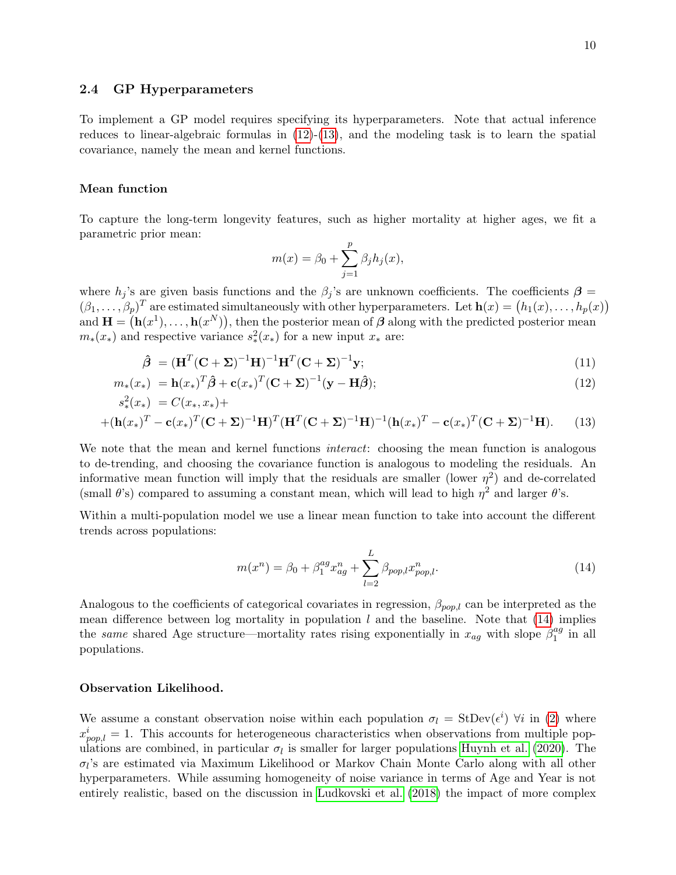#### 2.4 GP Hyperparameters

To implement a GP model requires specifying its hyperparameters. Note that actual inference reduces to linear-algebraic formulas in  $(12)-(13)$  $(12)-(13)$ , and the modeling task is to learn the spatial covariance, namely the mean and kernel functions.

#### Mean function

To capture the long-term longevity features, such as higher mortality at higher ages, we fit a parametric prior mean:

<span id="page-9-1"></span><span id="page-9-0"></span>
$$
m(x) = \beta_0 + \sum_{j=1}^p \beta_j h_j(x),
$$

where  $h_j$ 's are given basis functions and the  $\beta_j$ 's are unknown coefficients. The coefficients  $\beta$  =  $(\beta_1,\ldots,\beta_p)^T$  are estimated simultaneously with other hyperparameters. Let  $\mathbf{h}(x) = (h_1(x),\ldots,h_p(x))$ and  $\mathbf{H} = (\mathbf{h}(x^1), \dots, \mathbf{h}(x^N))$ , then the posterior mean of  $\boldsymbol{\beta}$  along with the predicted posterior mean  $m_*(x_*)$  and respective variance  $s_*^2(x_*)$  for a new input  $x_*$  are:

$$
\hat{\boldsymbol{\beta}} = (\mathbf{H}^T (\mathbf{C} + \mathbf{\Sigma})^{-1} \mathbf{H})^{-1} \mathbf{H}^T (\mathbf{C} + \mathbf{\Sigma})^{-1} \mathbf{y};
$$
\n(11)

$$
m_*(x_*) = \mathbf{h}(x_*)^T \hat{\boldsymbol{\beta}} + \mathbf{c}(x_*)^T (\mathbf{C} + \mathbf{\Sigma})^{-1} (\mathbf{y} - \mathbf{H} \hat{\boldsymbol{\beta}}); \tag{12}
$$

$$
s_{*}^{2}(x_{*}) = C(x_{*}, x_{*}) +
$$
  
+  $(\mathbf{h}(x_{*})^{T} - \mathbf{c}(x_{*})^{T}(\mathbf{C} + \Sigma)^{-1}\mathbf{H})^{T}(\mathbf{H}^{T}(\mathbf{C} + \Sigma)^{-1}\mathbf{H})^{-1}(\mathbf{h}(x_{*})^{T} - \mathbf{c}(x_{*})^{T}(\mathbf{C} + \Sigma)^{-1}\mathbf{H}).$  (13)

We note that the mean and kernel functions *interact*: choosing the mean function is analogous to de-trending, and choosing the covariance function is analogous to modeling the residuals. An informative mean function will imply that the residuals are smaller (lower  $\eta^2$ ) and de-correlated (small  $\theta$ 's) compared to assuming a constant mean, which will lead to high  $\eta^2$  and larger  $\theta$ 's.

Within a multi-population model we use a linear mean function to take into account the different trends across populations:

<span id="page-9-2"></span>
$$
m(x^n) = \beta_0 + \beta_1^{ag} x_{ag}^n + \sum_{l=2}^{L} \beta_{pop,l} x_{pop,l}^n.
$$
 (14)

Analogous to the coefficients of categorical covariates in regression,  $\beta_{pop,l}$  can be interpreted as the mean difference between log mortality in population  $l$  and the baseline. Note that  $(14)$  implies the same shared Age structure—mortality rates rising exponentially in  $x_{ag}$  with slope  $\beta_1^{ag}$  $_1^{ag}$  in all populations.

#### Observation Likelihood.

We assume a constant observation noise within each population  $\sigma_l = \text{StDev}(\epsilon^i) \ \forall i$  in [\(2\)](#page-4-1) where  $x_{pop,l}^i = 1$ . This accounts for heterogeneous characteristics when observations from multiple populations are combined, in particular  $\sigma_l$  is smaller for larger populations [Huynh et al. \(2020\)](#page-24-1). The  $\sigma_l$ 's are estimated via Maximum Likelihood or Markov Chain Monte Carlo along with all other hyperparameters. While assuming homogeneity of noise variance in terms of Age and Year is not entirely realistic, based on the discussion in [Ludkovski et al. \(2018\)](#page-25-0) the impact of more complex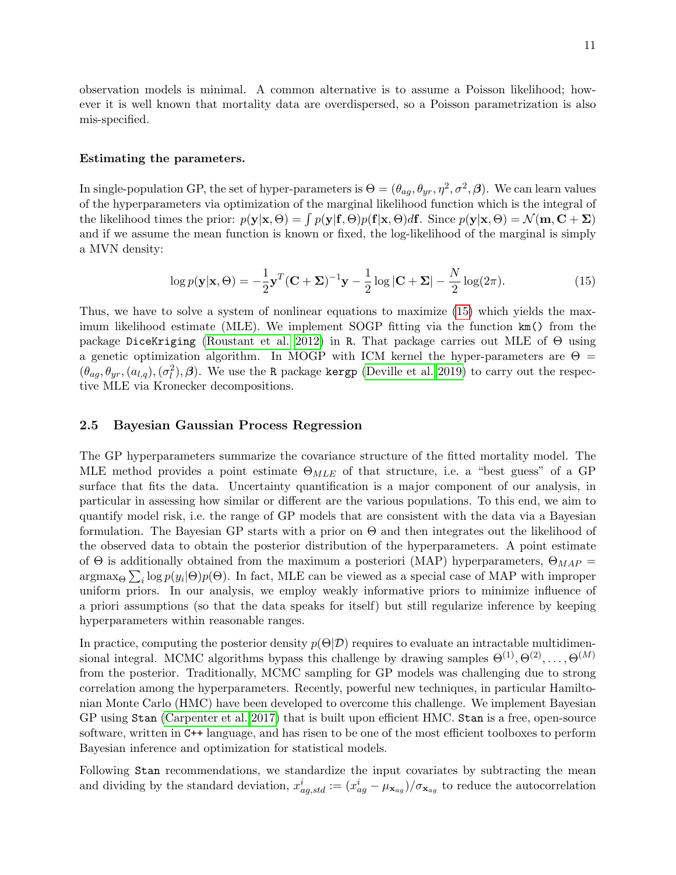observation models is minimal. A common alternative is to assume a Poisson likelihood; however it is well known that mortality data are overdispersed, so a Poisson parametrization is also mis-specified.

#### Estimating the parameters.

In single-population GP, the set of hyper-parameters is  $\Theta = (\theta_{ag}, \theta_{yr}, \eta^2, \sigma^2, \beta)$ . We can learn values of the hyperparameters via optimization of the marginal likelihood function which is the integral of the likelihood times the prior:  $p(\mathbf{y}|\mathbf{x}, \Theta) = \int p(\mathbf{y}|\mathbf{f}, \Theta)p(\mathbf{f}|\mathbf{x}, \Theta)d\mathbf{f}$ . Since  $p(\mathbf{y}|\mathbf{x}, \Theta) = \mathcal{N}(\mathbf{m}, \mathbf{C} + \Sigma)$ and if we assume the mean function is known or fixed, the log-likelihood of the marginal is simply a MVN density:

<span id="page-10-0"></span>
$$
\log p(\mathbf{y}|\mathbf{x},\Theta) = -\frac{1}{2}\mathbf{y}^T(\mathbf{C} + \mathbf{\Sigma})^{-1}\mathbf{y} - \frac{1}{2}\log|\mathbf{C} + \mathbf{\Sigma}| - \frac{N}{2}\log(2\pi).
$$
 (15)

Thus, we have to solve a system of nonlinear equations to maximize [\(15\)](#page-10-0) which yields the maximum likelihood estimate (MLE). We implement SOGP fitting via the function km() from the package DiceKriging [\(Roustant et al. 2012\)](#page-25-14) in R. That package carries out MLE of Θ using a genetic optimization algorithm. In MOGP with ICM kernel the hyper-parameters are  $\Theta =$  $(\theta_{ag}, \theta_{yr}, (a_{l,q}), (\sigma_l^2), \beta)$ . We use the R package kergp [\(Deville et al. 2019\)](#page-24-19) to carry out the respective MLE via Kronecker decompositions.

#### 2.5 Bayesian Gaussian Process Regression

The GP hyperparameters summarize the covariance structure of the fitted mortality model. The MLE method provides a point estimate  $\Theta_{MLE}$  of that structure, i.e. a "best guess" of a GP surface that fits the data. Uncertainty quantification is a major component of our analysis, in particular in assessing how similar or different are the various populations. To this end, we aim to quantify model risk, i.e. the range of GP models that are consistent with the data via a Bayesian formulation. The Bayesian GP starts with a prior on  $\Theta$  and then integrates out the likelihood of the observed data to obtain the posterior distribution of the hyperparameters. A point estimate of  $\Theta$  is additionally obtained from the maximum a posteriori (MAP) hyperparameters,  $\Theta_{MAP} =$  $\arg\max_{\Theta} \sum_i \log p(y_i|\Theta)p(\Theta)$ . In fact, MLE can be viewed as a special case of MAP with improper uniform priors. In our analysis, we employ weakly informative priors to minimize influence of a priori assumptions (so that the data speaks for itself) but still regularize inference by keeping hyperparameters within reasonable ranges.

In practice, computing the posterior density  $p(\Theta|\mathcal{D})$  requires to evaluate an intractable multidimensional integral. MCMC algorithms bypass this challenge by drawing samples  $\Theta^{(1)}, \Theta^{(2)}, \ldots, \Theta^{(M)}$ from the posterior. Traditionally, MCMC sampling for GP models was challenging due to strong correlation among the hyperparameters. Recently, powerful new techniques, in particular Hamiltonian Monte Carlo (HMC) have been developed to overcome this challenge. We implement Bayesian GP using Stan [\(Carpenter et al. 2017\)](#page-23-3) that is built upon efficient HMC. Stan is a free, open-source software, written in C++ language, and has risen to be one of the most efficient toolboxes to perform Bayesian inference and optimization for statistical models.

Following Stan recommendations, we standardize the input covariates by subtracting the mean and dividing by the standard deviation,  $x_{ag, std}^i := (x_{ag}^i - \mu_{\mathbf{x}_{ag}})/\sigma_{\mathbf{x}_{ag}}$  to reduce the autocorrelation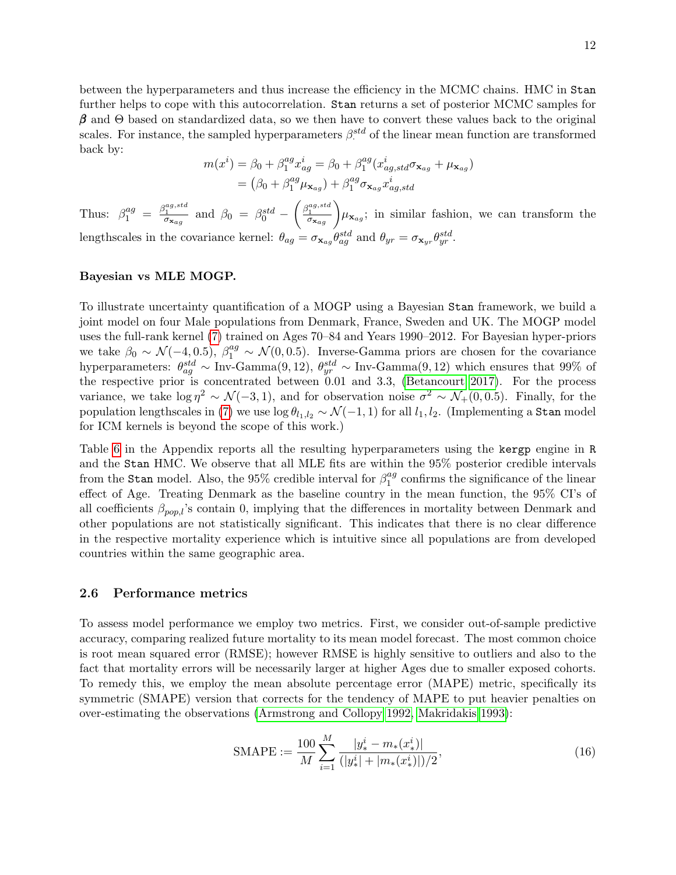between the hyperparameters and thus increase the efficiency in the MCMC chains. HMC in Stan further helps to cope with this autocorrelation. Stan returns a set of posterior MCMC samples for  $\beta$  and  $\Theta$  based on standardized data, so we then have to convert these values back to the original scales. For instance, the sampled hyperparameters  $\beta_{\cdot}^{std}$  of the linear mean function are transformed back by:

$$
m(xi) = \beta_0 + \beta_1^{ag} x_{ag}^i = \beta_0 + \beta_1^{ag} (x_{ag,std}^i \sigma_{\mathbf{x}_{ag}} + \mu_{\mathbf{x}_{ag}})
$$
  
= 
$$
(\beta_0 + \beta_1^{ag} \mu_{\mathbf{x}_{ag}}) + \beta_1^{ag} \sigma_{\mathbf{x}_{ag}} x_{ag,std}^i
$$

Thus:  $\beta_1^{ag} = \frac{\beta_1^{ag, std}}{\sigma_{\mathbf{x}_{ag}}}$  and  $\beta_0 = \beta_0^{std} - \left(\frac{\beta_1^{ag, std}}{\sigma_{\mathbf{x}_{ag}}} \right)$  $\left(\frac{a_{1}a_{3}, \ldots, a_{n}}{a_{\sigma_{\mathbf{x}_{ag}}}}\right) \mu_{\mathbf{x}_{ag}}$ ; in similar fashion, we can transform the lengthscales in the covariance kernel:  $\theta_{ag} = \sigma_{\mathbf{x}_{ag}} \theta_{ag}^{std}$  and  $\theta_{yr} = \sigma_{\mathbf{x}_{yr}} \theta_{yr}^{std}$ .

#### Bayesian vs MLE MOGP.

To illustrate uncertainty quantification of a MOGP using a Bayesian Stan framework, we build a joint model on four Male populations from Denmark, France, Sweden and UK. The MOGP model uses the full-rank kernel [\(7\)](#page-6-0) trained on Ages 70–84 and Years 1990–2012. For Bayesian hyper-priors we take  $\beta_0 \sim \mathcal{N}(-4, 0.5)$ ,  $\beta_1^{ag} \sim \mathcal{N}(0, 0.5)$ . Inverse-Gamma priors are chosen for the covariance hyperparameters:  $\theta_{ag}^{std} \sim \text{Inv-Gamma}(9, 12)$ ,  $\theta_{yr}^{std} \sim \text{Inv-Gamma}(9, 12)$  which ensures that 99% of the respective prior is concentrated between 0.01 and 3.3, [\(Betancourt 2017\)](#page-22-2). For the process variance, we take  $\log \eta^2 \sim \mathcal{N}(-3, 1)$ , and for observation noise  $\sigma^2 \sim \mathcal{N}_+(0, 0.5)$ . Finally, for the population lengthscales in [\(7\)](#page-6-0) we use  $\log \theta_{l_1,l_2} \sim \mathcal{N}(-1,1)$  for all  $l_1, l_2$ . (Implementing a Stan model for ICM kernels is beyond the scope of this work.)

Table [6](#page-23-4) in the Appendix reports all the resulting hyperparameters using the kergp engine in R and the Stan HMC. We observe that all MLE fits are within the 95% posterior credible intervals from the Stan model. Also, the 95% credible interval for  $\beta_1^{ag}$  $_1^{ag}$  confirms the significance of the linear effect of Age. Treating Denmark as the baseline country in the mean function, the 95% CI's of all coefficients  $\beta_{pop,l}$ 's contain 0, implying that the differences in mortality between Denmark and other populations are not statistically significant. This indicates that there is no clear difference in the respective mortality experience which is intuitive since all populations are from developed countries within the same geographic area.

#### <span id="page-11-0"></span>2.6 Performance metrics

To assess model performance we employ two metrics. First, we consider out-of-sample predictive accuracy, comparing realized future mortality to its mean model forecast. The most common choice is root mean squared error (RMSE); however RMSE is highly sensitive to outliers and also to the fact that mortality errors will be necessarily larger at higher Ages due to smaller exposed cohorts. To remedy this, we employ the mean absolute percentage error (MAPE) metric, specifically its symmetric (SMAPE) version that corrects for the tendency of MAPE to put heavier penalties on over-estimating the observations [\(Armstrong and Collopy 1992,](#page-22-3) [Makridakis 1993\)](#page-25-15):

$$
\text{SMAPE} := \frac{100}{M} \sum_{i=1}^{M} \frac{|y_i^i - m_*(x_*^i)|}{(|y_i^i| + |m_*(x_*^i)|)/2},\tag{16}
$$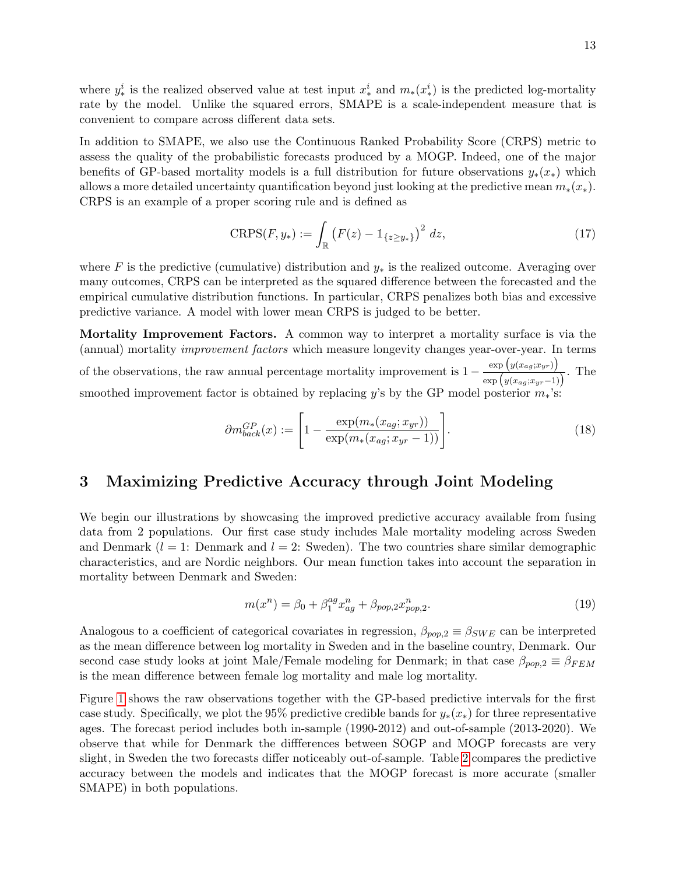where  $y_*^i$  is the realized observed value at test input  $x_*^i$  and  $m_*(x_*^i)$  is the predicted log-mortality rate by the model. Unlike the squared errors, SMAPE is a scale-independent measure that is convenient to compare across different data sets.

In addition to SMAPE, we also use the Continuous Ranked Probability Score (CRPS) metric to assess the quality of the probabilistic forecasts produced by a MOGP. Indeed, one of the major benefits of GP-based mortality models is a full distribution for future observations  $y_*(x_*)$  which allows a more detailed uncertainty quantification beyond just looking at the predictive mean  $m_*(x_*)$ . CRPS is an example of a proper scoring rule and is defined as

$$
CRPS(F, y_*) := \int_{\mathbb{R}} \left( F(z) - \mathbb{1}_{\{z \ge y_*\}} \right)^2 \, dz,
$$
\n(17)

where F is the predictive (cumulative) distribution and  $y_*$  is the realized outcome. Averaging over many outcomes, CRPS can be interpreted as the squared difference between the forecasted and the empirical cumulative distribution functions. In particular, CRPS penalizes both bias and excessive predictive variance. A model with lower mean CRPS is judged to be better.

Mortality Improvement Factors. A common way to interpret a mortality surface is via the (annual) mortality improvement factors which measure longevity changes year-over-year. In terms of the observations, the raw annual percentage mortality improvement is  $1 - \frac{\exp (y(x_{ag};x_{yr}))}{\sqrt{y(x_{ag};x_{gr}))}}$  $\frac{\exp(y(x_{ag}, x_{yr}))}{\exp(y(x_{ag}, x_{yr}-1))}$ . The smoothed improvement factor is obtained by replacing y's by the GP model posterior  $m_*$ 's:

<span id="page-12-1"></span>
$$
\partial m_{back}^{GP}(x) := \left[ 1 - \frac{\exp(m_*(x_{ag}; x_{yr}))}{\exp(m_*(x_{ag}; x_{yr} - 1))} \right]. \tag{18}
$$

# <span id="page-12-0"></span>3 Maximizing Predictive Accuracy through Joint Modeling

We begin our illustrations by showcasing the improved predictive accuracy available from fusing data from 2 populations. Our first case study includes Male mortality modeling across Sweden and Denmark  $(l = 1:$  Denmark and  $l = 2:$  Sweden). The two countries share similar demographic characteristics, and are Nordic neighbors. Our mean function takes into account the separation in mortality between Denmark and Sweden:

$$
m(x^n) = \beta_0 + \beta_1^{ag} x_{ag}^n + \beta_{pop,2} x_{pop,2}^n. \tag{19}
$$

Analogous to a coefficient of categorical covariates in regression,  $\beta_{pop,2} \equiv \beta_{SWE}$  can be interpreted as the mean difference between log mortality in Sweden and in the baseline country, Denmark. Our second case study looks at joint Male/Female modeling for Denmark; in that case  $\beta_{pop,2} \equiv \beta_{FEM}$ is the mean difference between female log mortality and male log mortality.

Figure [1](#page-13-0) shows the raw observations together with the GP-based predictive intervals for the first case study. Specifically, we plot the 95% predictive credible bands for  $y_*(x_*)$  for three representative ages. The forecast period includes both in-sample (1990-2012) and out-of-sample (2013-2020). We observe that while for Denmark the diffferences between SOGP and MOGP forecasts are very slight, in Sweden the two forecasts differ noticeably out-of-sample. Table [2](#page-13-1) compares the predictive accuracy between the models and indicates that the MOGP forecast is more accurate (smaller SMAPE) in both populations.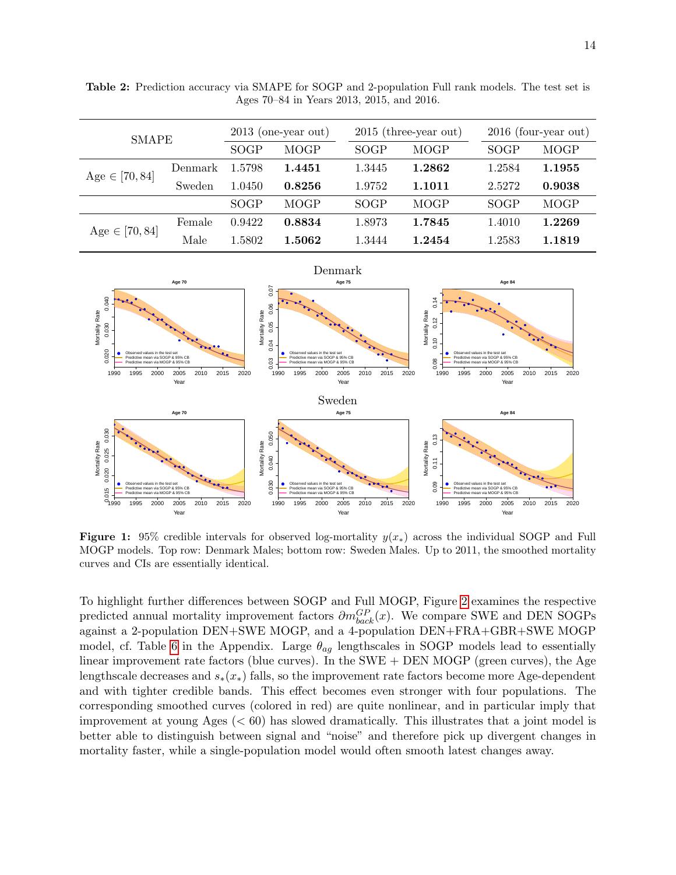| <b>SMAPE</b>       |         | $2013$ (one-year out) |             | $2015$ (three-year out) |             |             | $2016$ (four-year out) |  |
|--------------------|---------|-----------------------|-------------|-------------------------|-------------|-------------|------------------------|--|
|                    |         | SOGP                  | <b>MOGP</b> | SOGP                    | <b>MOGP</b> | SOGP        | <b>MOGP</b>            |  |
| $Age \in [70, 84]$ | Denmark | 1.5798                | 1.4451      | 1.3445                  | 1.2862      | 1.2584      | 1.1955                 |  |
|                    | Sweden  | 1.0450                | 0.8256      | 1.9752                  | 1.1011      | 2.5272      | 0.9038                 |  |
|                    |         | SOGP                  | <b>MOGP</b> | SOGP                    | <b>MOGP</b> | <b>SOGP</b> | <b>MOGP</b>            |  |
| $Age \in [70, 84]$ | Female  | 0.9422                | 0.8834      | 1.8973                  | 1.7845      | 1.4010      | 1.2269                 |  |
|                    | Male    | 1.5802                | 1.5062      | 1.3444                  | 1.2454      | 1.2583      | 1.1819                 |  |

<span id="page-13-1"></span>Table 2: Prediction accuracy via SMAPE for SOGP and 2-population Full rank models. The test set is Ages 70–84 in Years 2013, 2015, and 2016.

<span id="page-13-0"></span>

Figure 1: 95% credible intervals for observed log-mortality  $y(x_*)$  across the individual SOGP and Full MOGP models. Top row: Denmark Males; bottom row: Sweden Males. Up to 2011, the smoothed mortality curves and CIs are essentially identical.

To highlight further differences between SOGP and Full MOGP, Figure [2](#page-14-1) examines the respective predicted annual mortality improvement factors  $\partial m_{back}^{GP}(x)$ . We compare SWE and DEN SOGPs against a 2-population DEN+SWE MOGP, and a 4-population DEN+FRA+GBR+SWE MOGP model, cf. Table [6](#page-23-4) in the Appendix. Large  $\theta_{ag}$  lengthscales in SOGP models lead to essentially linear improvement rate factors (blue curves). In the SWE + DEN MOGP (green curves), the Age lengthscale decreases and  $s_*(x_*)$  falls, so the improvement rate factors become more Age-dependent and with tighter credible bands. This effect becomes even stronger with four populations. The corresponding smoothed curves (colored in red) are quite nonlinear, and in particular imply that improvement at young Ages  $( $60$ ) has slowed dramatically. This illustrates that a joint model is$ better able to distinguish between signal and "noise" and therefore pick up divergent changes in mortality faster, while a single-population model would often smooth latest changes away.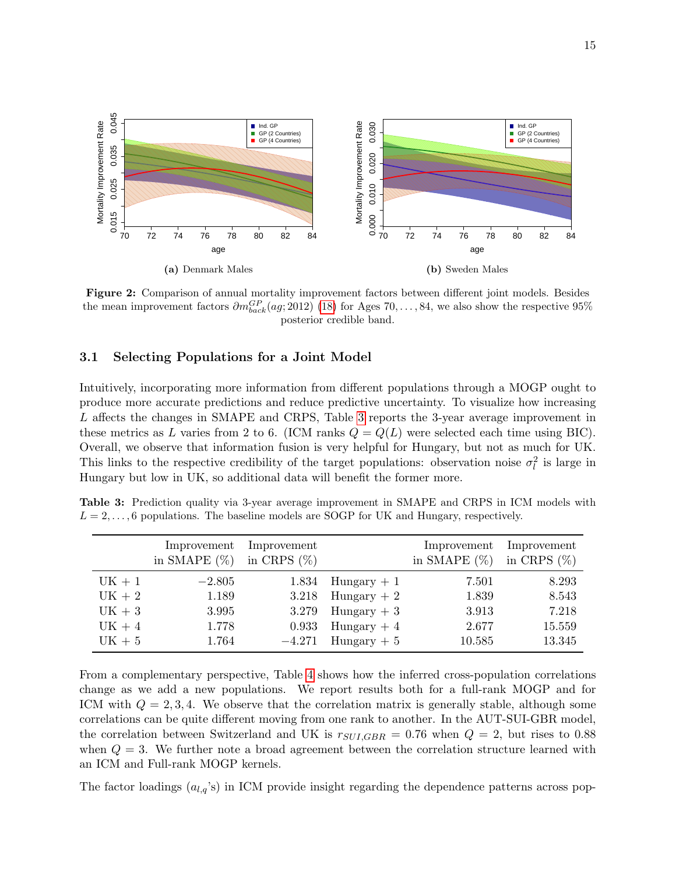<span id="page-14-1"></span>

Figure 2: Comparison of annual mortality improvement factors between different joint models. Besides the mean improvement factors  $\partial m_{back}^{GP}(ag; 2012)$  [\(18\)](#page-12-1) for Ages 70, ..., 84, we also show the respective 95% posterior credible band.

### <span id="page-14-0"></span>3.1 Selecting Populations for a Joint Model

Intuitively, incorporating more information from different populations through a MOGP ought to produce more accurate predictions and reduce predictive uncertainty. To visualize how increasing L affects the changes in SMAPE and CRPS, Table [3](#page-14-2) reports the 3-year average improvement in these metrics as L varies from 2 to 6. (ICM ranks  $Q = Q(L)$  were selected each time using BIC). Overall, we observe that information fusion is very helpful for Hungary, but not as much for UK. This links to the respective credibility of the target populations: observation noise  $\sigma_l^2$  is large in Hungary but low in UK, so additional data will benefit the former more.

<span id="page-14-2"></span>Table 3: Prediction quality via 3-year average improvement in SMAPE and CRPS in ICM models with  $L = 2, \ldots, 6$  populations. The baseline models are SOGP for UK and Hungary, respectively.

|          | Improvement<br>in SMAPE $(\%)$ | Improvement<br>in CRPS $(\%)$ |               | Improvement<br>in SMAPE $(\%)$ | Improvement<br>in CRPS $(\%)$ |
|----------|--------------------------------|-------------------------------|---------------|--------------------------------|-------------------------------|
| $UK + 1$ | $-2.805$                       | 1.834                         | $Hungary + 1$ | 7.501                          | 8.293                         |
| $UK + 2$ | 1.189                          | 3.218                         | $Hungary + 2$ | 1.839                          | 8.543                         |
| $UK + 3$ | 3.995                          | 3.279                         | $Hungary + 3$ | 3.913                          | 7.218                         |
| $UK + 4$ | 1.778                          | 0.933                         | $Hungary + 4$ | 2.677                          | 15.559                        |
| $UK + 5$ | 1.764                          | $-4.271$                      | $Hungary + 5$ | 10.585                         | 13.345                        |

From a complementary perspective, Table [4](#page-15-0) shows how the inferred cross-population correlations change as we add a new populations. We report results both for a full-rank MOGP and for ICM with  $Q = 2, 3, 4$ . We observe that the correlation matrix is generally stable, although some correlations can be quite different moving from one rank to another. In the AUT-SUI-GBR model, the correlation between Switzerland and UK is  $r_{SUI,GBR} = 0.76$  when  $Q = 2$ , but rises to 0.88 when  $Q = 3$ . We further note a broad agreement between the correlation structure learned with an ICM and Full-rank MOGP kernels.

The factor loadings  $(a_{l,q}^{\prime s})$  in ICM provide insight regarding the dependence patterns across pop-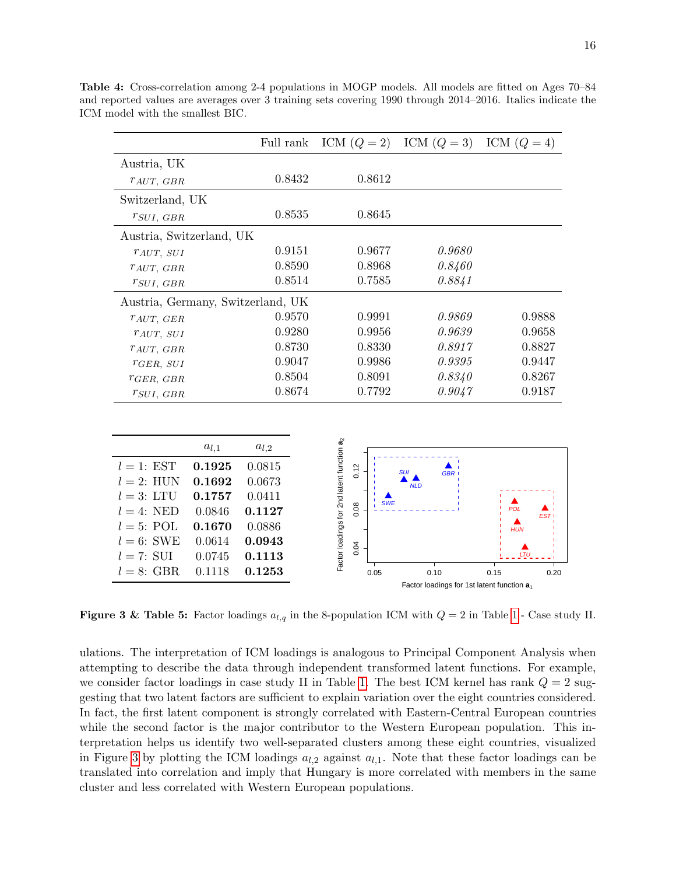|                          |           | Full rank                         |                                                        | ICM $(Q = 2)$ ICM $(Q = 3)$ | ICM $(Q = 4)$     |
|--------------------------|-----------|-----------------------------------|--------------------------------------------------------|-----------------------------|-------------------|
| Austria, UK              |           |                                   |                                                        |                             |                   |
| $r_{AUT, GBR}$           |           | 0.8432                            | 0.8612                                                 |                             |                   |
| Switzerland, UK          |           |                                   |                                                        |                             |                   |
| $r_{SUI, GBR}$           |           | 0.8535                            | 0.8645                                                 |                             |                   |
| Austria, Switzerland, UK |           |                                   |                                                        |                             |                   |
| TAUT, SUI                |           | 0.9151                            | 0.9677                                                 | 0.9680                      |                   |
| TAUT, GBR                |           | 0.8590                            | 0.8968                                                 | 0.8460                      |                   |
| $r_{SUI, GBR}$           |           | 0.8514                            | 0.7585                                                 | 0.8841                      |                   |
|                          |           | Austria, Germany, Switzerland, UK |                                                        |                             |                   |
| TAUT, GER                |           | 0.9570                            | 0.9991                                                 | 0.9869                      | 0.9888            |
| $r_{AUT, SUI}$           |           | 0.9280                            | 0.9956                                                 | 0.9639                      | 0.9658            |
| $r_{AUT, GBR}$           |           | 0.8730                            | 0.8330                                                 | 0.8917                      | 0.8827            |
| $r_{GER, SUI}$           |           | 0.9047                            | 0.9986                                                 | 0.9395                      | 0.9447            |
| $r_{GER, GBR}$           |           | 0.8504                            | 0.8091                                                 | 0.8340                      | 0.8267            |
| $r_{SUI, GBR}$           |           | 0.8674                            | 0.7792                                                 | 0.9047                      | 0.9187            |
|                          |           |                                   |                                                        |                             |                   |
|                          | $a_{l,1}$ | $a_{l,2}$                         | Factor loadings for 2nd latent function a <sub>2</sub> |                             |                   |
| $l=1$ : EST              | 0.1925    | 0.0815                            | 0.12                                                   | SUI<br><b>GBR</b>           |                   |
| $l=2$ : HUN              | 0.1692    | 0.0673                            |                                                        | <b>NLD</b>                  |                   |
| $l=3: LTU$               | 0.1757    | 0.0411                            | <b>SWE</b>                                             |                             |                   |
| $l = 4$ : NED            | 0.0846    | 0.1127                            | 0.08                                                   |                             | <b>POL</b><br>EST |
| $l = 5$ : POL            | 0.1670    | 0.0886                            |                                                        |                             | <b>HUN</b>        |
| $l = 6$ : SWE            | 0.0614    | 0.0943                            | 0.04                                                   |                             |                   |
| $l = 7:$ SUI             | 0.0745    | 0.1113                            |                                                        |                             | LTU               |
| $l = 8$ . CRD            | 0.1118    | በ 1952                            | 000                                                    | 0.40                        |                   |

<span id="page-15-0"></span>Table 4: Cross-correlation among 2-4 populations in MOGP models. All models are fitted on Ages 70–84 and reported values are averages over 3 training sets covering 1990 through 2014–2016. Italics indicate the ICM model with the smallest BIC.

**Figure 3 & Table 5:** Factor loadings  $a_{l,q}$  in the 8-population ICM with  $Q = 2$  in Table [1](#page-8-0) - Case study II.

0.05 0.10 0.15 0.20

Factor loadings for 1st latent function **a**<sup>1</sup>

<span id="page-15-1"></span> $l = 8$ : GBR 0.1118 0.1253

ulations. The interpretation of ICM loadings is analogous to Principal Component Analysis when attempting to describe the data through independent transformed latent functions. For example, we consider factor loadings in case study II in Table [1.](#page-8-0) The best ICM kernel has rank  $Q = 2$  suggesting that two latent factors are sufficient to explain variation over the eight countries considered. In fact, the first latent component is strongly correlated with Eastern-Central European countries while the second factor is the major contributor to the Western European population. This interpretation helps us identify two well-separated clusters among these eight countries, visualized in Figure [3](#page-15-1) by plotting the ICM loadings  $a_{l,2}$  against  $a_{l,1}$ . Note that these factor loadings can be translated into correlation and imply that Hungary is more correlated with members in the same cluster and less correlated with Western European populations.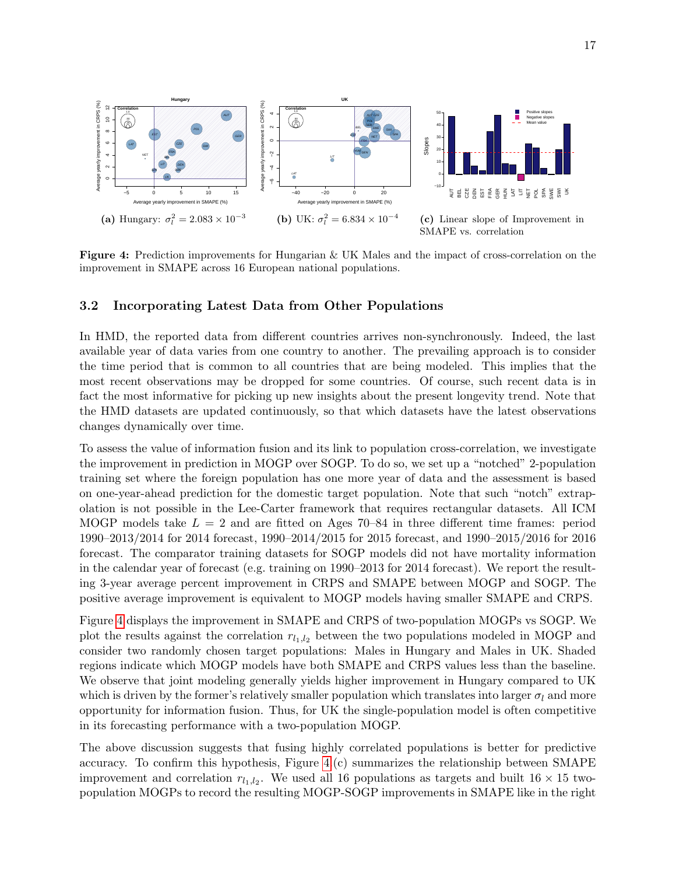<span id="page-16-0"></span>

Figure 4: Prediction improvements for Hungarian & UK Males and the impact of cross-correlation on the improvement in SMAPE across 16 European national populations.

## 3.2 Incorporating Latest Data from Other Populations

In HMD, the reported data from different countries arrives non-synchronously. Indeed, the last available year of data varies from one country to another. The prevailing approach is to consider the time period that is common to all countries that are being modeled. This implies that the most recent observations may be dropped for some countries. Of course, such recent data is in fact the most informative for picking up new insights about the present longevity trend. Note that the HMD datasets are updated continuously, so that which datasets have the latest observations changes dynamically over time.

To assess the value of information fusion and its link to population cross-correlation, we investigate the improvement in prediction in MOGP over SOGP. To do so, we set up a "notched" 2-population training set where the foreign population has one more year of data and the assessment is based on one-year-ahead prediction for the domestic target population. Note that such "notch" extrapolation is not possible in the Lee-Carter framework that requires rectangular datasets. All ICM MOGP models take  $L = 2$  and are fitted on Ages 70–84 in three different time frames: period 1990–2013/2014 for 2014 forecast, 1990–2014/2015 for 2015 forecast, and 1990–2015/2016 for 2016 forecast. The comparator training datasets for SOGP models did not have mortality information in the calendar year of forecast (e.g. training on 1990–2013 for 2014 forecast). We report the resulting 3-year average percent improvement in CRPS and SMAPE between MOGP and SOGP. The positive average improvement is equivalent to MOGP models having smaller SMAPE and CRPS.

Figure [4](#page-16-0) displays the improvement in SMAPE and CRPS of two-population MOGPs vs SOGP. We plot the results against the correlation  $r_{l_1,l_2}$  between the two populations modeled in MOGP and consider two randomly chosen target populations: Males in Hungary and Males in UK. Shaded regions indicate which MOGP models have both SMAPE and CRPS values less than the baseline. We observe that joint modeling generally yields higher improvement in Hungary compared to UK which is driven by the former's relatively smaller population which translates into larger  $\sigma_l$  and more opportunity for information fusion. Thus, for UK the single-population model is often competitive in its forecasting performance with a two-population MOGP.

The above discussion suggests that fusing highly correlated populations is better for predictive accuracy. To confirm this hypothesis, Figure  $4(c)$  summarizes the relationship between SMAPE improvement and correlation  $r_{l_1,l_2}$ . We used all 16 populations as targets and built 16  $\times$  15 twopopulation MOGPs to record the resulting MOGP-SOGP improvements in SMAPE like in the right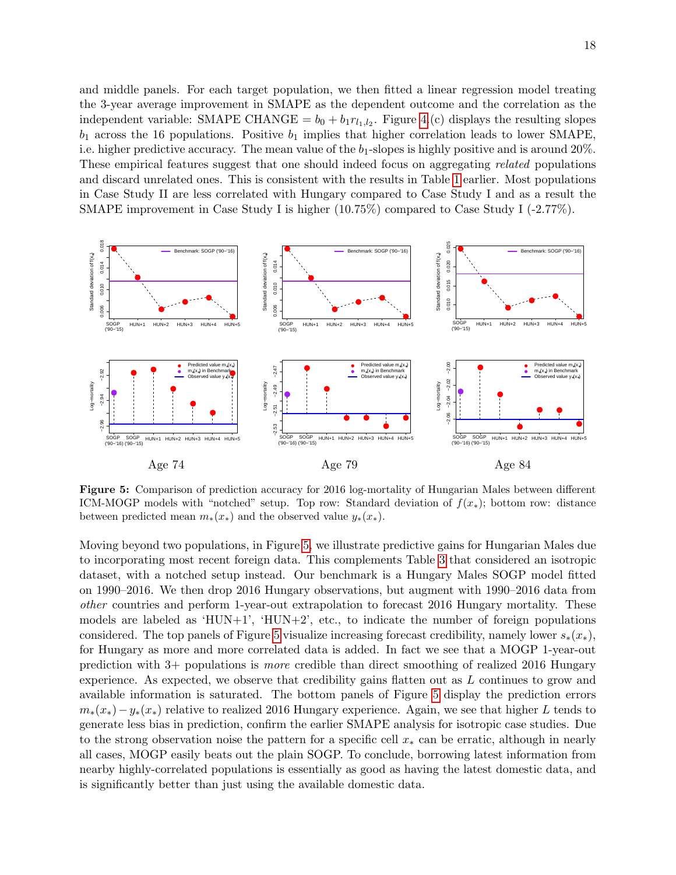and middle panels. For each target population, we then fitted a linear regression model treating the 3-year average improvement in SMAPE as the dependent outcome and the correlation as the independent variable: SMAPE CHANGE =  $b_0 + b_1 r_{l_1, l_2}$ . Figure [4.](#page-16-0)(c) displays the resulting slopes  $b_1$  across the 16 populations. Positive  $b_1$  implies that higher correlation leads to lower SMAPE, i.e. higher predictive accuracy. The mean value of the  $b_1$ -slopes is highly positive and is around 20%. These empirical features suggest that one should indeed focus on aggregating related populations and discard unrelated ones. This is consistent with the results in Table [1](#page-8-0) earlier. Most populations in Case Study II are less correlated with Hungary compared to Case Study I and as a result the SMAPE improvement in Case Study I is higher (10.75%) compared to Case Study I (-2.77%).

<span id="page-17-0"></span>

Figure 5: Comparison of prediction accuracy for 2016 log-mortality of Hungarian Males between different ICM-MOGP models with "notched" setup. Top row: Standard deviation of  $f(x_*)$ ; bottom row: distance between predicted mean  $m_*(x_*)$  and the observed value  $y_*(x_*)$ .

Moving beyond two populations, in Figure [5,](#page-17-0) we illustrate predictive gains for Hungarian Males due to incorporating most recent foreign data. This complements Table [3](#page-14-2) that considered an isotropic dataset, with a notched setup instead. Our benchmark is a Hungary Males SOGP model fitted on 1990–2016. We then drop 2016 Hungary observations, but augment with 1990–2016 data from other countries and perform 1-year-out extrapolation to forecast 2016 Hungary mortality. These models are labeled as 'HUN+1', 'HUN+2', etc., to indicate the number of foreign populations considered. The top panels of Figure [5](#page-17-0) visualize increasing forecast credibility, namely lower  $s_*(x_*)$ , for Hungary as more and more correlated data is added. In fact we see that a MOGP 1-year-out prediction with 3+ populations is more credible than direct smoothing of realized 2016 Hungary experience. As expected, we observe that credibility gains flatten out as L continues to grow and available information is saturated. The bottom panels of Figure [5](#page-17-0) display the prediction errors  $m_*(x_*)-y_*(x_*)$  relative to realized 2016 Hungary experience. Again, we see that higher L tends to generate less bias in prediction, confirm the earlier SMAPE analysis for isotropic case studies. Due to the strong observation noise the pattern for a specific cell  $x_*$  can be erratic, although in nearly all cases, MOGP easily beats out the plain SOGP. To conclude, borrowing latest information from nearby highly-correlated populations is essentially as good as having the latest domestic data, and is significantly better than just using the available domestic data.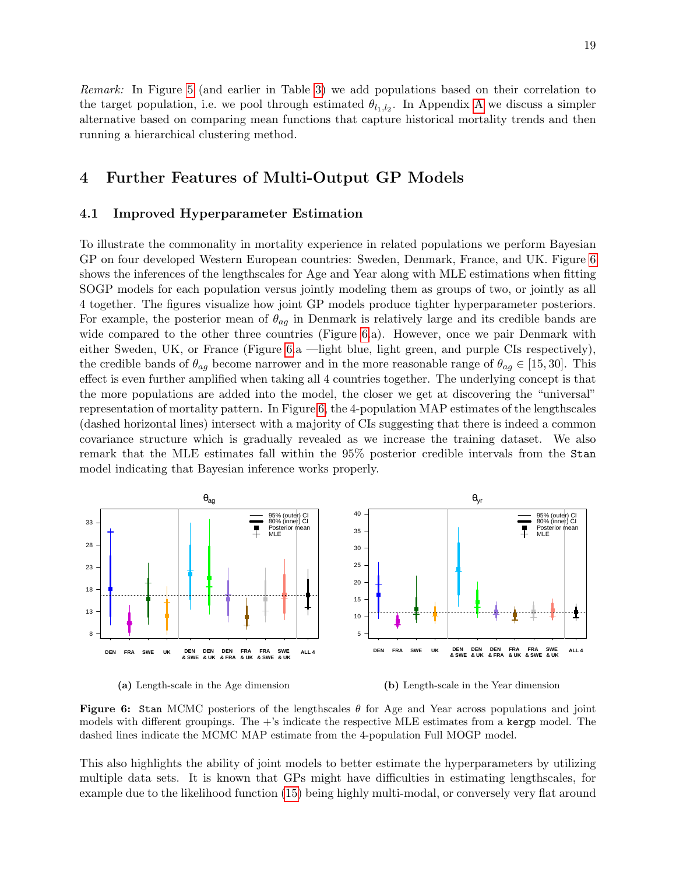Remark: In Figure [5](#page-17-0) (and earlier in Table [3\)](#page-14-2) we add populations based on their correlation to the target population, i.e. we pool through estimated  $\theta_{l_1,l_2}$ . In [A](#page-21-0)ppendix A we discuss a simpler alternative based on comparing mean functions that capture historical mortality trends and then running a hierarchical clustering method.

# <span id="page-18-0"></span>4 Further Features of Multi-Output GP Models

#### <span id="page-18-1"></span>4.1 Improved Hyperparameter Estimation

To illustrate the commonality in mortality experience in related populations we perform Bayesian GP on four developed Western European countries: Sweden, Denmark, France, and UK. Figure [6](#page-18-2) shows the inferences of the lengthscales for Age and Year along with MLE estimations when fitting SOGP models for each population versus jointly modeling them as groups of two, or jointly as all 4 together. The figures visualize how joint GP models produce tighter hyperparameter posteriors. For example, the posterior mean of  $\theta_{aq}$  in Denmark is relatively large and its credible bands are wide compared to the other three countries (Figure [6.](#page-18-2)a). However, once we pair Denmark with either Sweden, UK, or France (Figure [6.](#page-18-2)a —light blue, light green, and purple CIs respectively), the credible bands of  $\theta_{aq}$  become narrower and in the more reasonable range of  $\theta_{aq} \in [15, 30]$ . This effect is even further amplified when taking all 4 countries together. The underlying concept is that the more populations are added into the model, the closer we get at discovering the "universal" representation of mortality pattern. In Figure [6,](#page-18-2) the 4-population MAP estimates of the lengthscales (dashed horizontal lines) intersect with a majority of CIs suggesting that there is indeed a common covariance structure which is gradually revealed as we increase the training dataset. We also remark that the MLE estimates fall within the 95% posterior credible intervals from the Stan model indicating that Bayesian inference works properly.

<span id="page-18-2"></span>



(b) Length-scale in the Year dimension

Figure 6: Stan MCMC posteriors of the lengthscales  $\theta$  for Age and Year across populations and joint models with different groupings. The  $+$ 's indicate the respective MLE estimates from a kergp model. The dashed lines indicate the MCMC MAP estimate from the 4-population Full MOGP model.

This also highlights the ability of joint models to better estimate the hyperparameters by utilizing multiple data sets. It is known that GPs might have difficulties in estimating lengthscales, for example due to the likelihood function [\(15\)](#page-10-0) being highly multi-modal, or conversely very flat around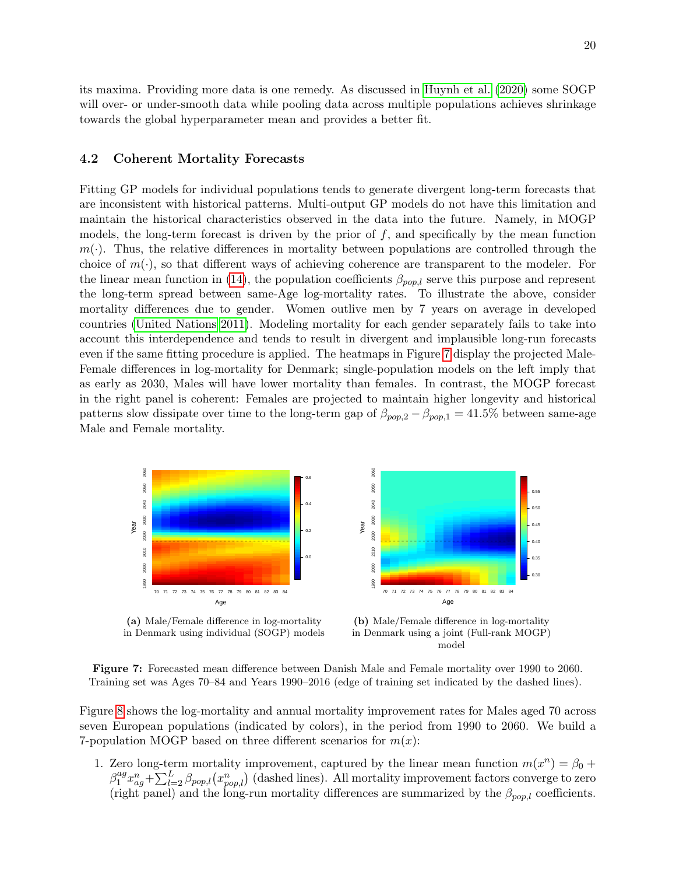20

its maxima. Providing more data is one remedy. As discussed in [Huynh et al. \(2020\)](#page-24-1) some SOGP will over- or under-smooth data while pooling data across multiple populations achieves shrinkage towards the global hyperparameter mean and provides a better fit.

### 4.2 Coherent Mortality Forecasts

Fitting GP models for individual populations tends to generate divergent long-term forecasts that are inconsistent with historical patterns. Multi-output GP models do not have this limitation and maintain the historical characteristics observed in the data into the future. Namely, in MOGP models, the long-term forecast is driven by the prior of  $f$ , and specifically by the mean function  $m(\cdot)$ . Thus, the relative differences in mortality between populations are controlled through the choice of  $m(\cdot)$ , so that different ways of achieving coherence are transparent to the modeler. For the linear mean function in [\(14\)](#page-9-2), the population coefficients  $\beta_{pop,l}$  serve this purpose and represent the long-term spread between same-Age log-mortality rates. To illustrate the above, consider mortality differences due to gender. Women outlive men by 7 years on average in developed countries [\(United Nations 2011\)](#page-25-16). Modeling mortality for each gender separately fails to take into account this interdependence and tends to result in divergent and implausible long-run forecasts even if the same fitting procedure is applied. The heatmaps in Figure [7](#page-19-0) display the projected Male-Female differences in log-mortality for Denmark; single-population models on the left imply that as early as 2030, Males will have lower mortality than females. In contrast, the MOGP forecast in the right panel is coherent: Females are projected to maintain higher longevity and historical patterns slow dissipate over time to the long-term gap of  $\beta_{pop,2} - \beta_{pop,1} = 41.5\%$  between same-age Male and Female mortality.

<span id="page-19-0"></span>

(a) Male/Female difference in log-mortality in Denmark using individual (SOGP) models

(b) Male/Female difference in log-mortality in Denmark using a joint (Full-rank MOGP) model

0.30 0.35 0.40 0.45 0.50 0.55

Figure 7: Forecasted mean difference between Danish Male and Female mortality over 1990 to 2060. Training set was Ages 70–84 and Years 1990–2016 (edge of training set indicated by the dashed lines).

Figure [8](#page-20-0) shows the log-mortality and annual mortality improvement rates for Males aged 70 across seven European populations (indicated by colors), in the period from 1990 to 2060. We build a 7-population MOGP based on three different scenarios for  $m(x)$ :

1. Zero long-term mortality improvement, captured by the linear mean function  $m(x^n) = \beta_0 +$  $\beta_1^{ag}$  $u_1^{ag}x_{ag}^n+\sum_{l=2}^L \beta_{pop,l}(x_{pop,l}^n)$  (dashed lines). All mortality improvement factors converge to zero (right panel) and the long-run mortality differences are summarized by the  $\beta_{pop,l}$  coefficients.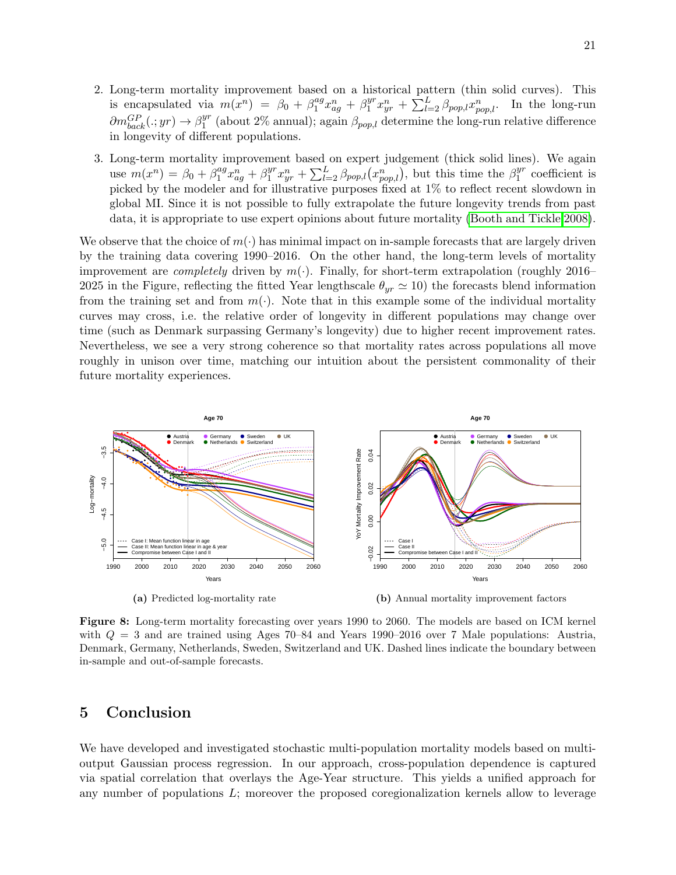- 2. Long-term mortality improvement based on a historical pattern (thin solid curves). This is encapsulated via  $m(x^n) = \beta_0 + \beta_1^{ag}$  $a^q x_{ag}^n + \beta_1^{yr}$  $u_1^{yr} x_{yr}^n + \sum_{l=2}^{L} \beta_{pop,l} x_{pop,l}^n$ . In the long-run  $\partial m_{back}^{GP}(.; yr) \rightarrow \beta_1^{yr}$  $1<sup>yr</sup>$  (about 2% annual); again  $\beta_{pop,l}$  determine the long-run relative difference in longevity of different populations.
- 3. Long-term mortality improvement based on expert judgement (thick solid lines). We again use  $m(x^n) = \beta_0 + \beta_1^{ag}$  $a^q x_{ag}^{\overline{n}} + \beta_1^{yr}$  $y^r x_{yr}^n + \sum_{l=2}^L \beta_{pop,l}(x_{pop,l}^n)$ , but this time the  $\beta_1^{yr}$  $1<sup>yr</sup>$  coefficient is picked by the modeler and for illustrative purposes fixed at 1% to reflect recent slowdown in global MI. Since it is not possible to fully extrapolate the future longevity trends from past data, it is appropriate to use expert opinions about future mortality [\(Booth and Tickle 2008\)](#page-23-5).

We observe that the choice of  $m(\cdot)$  has minimal impact on in-sample forecasts that are largely driven by the training data covering 1990–2016. On the other hand, the long-term levels of mortality improvement are *completely* driven by  $m(\cdot)$ . Finally, for short-term extrapolation (roughly 2016– 2025 in the Figure, reflecting the fitted Year lengthscale  $\theta_{yr} \simeq 10$ ) the forecasts blend information from the training set and from  $m(\cdot)$ . Note that in this example some of the individual mortality curves may cross, i.e. the relative order of longevity in different populations may change over time (such as Denmark surpassing Germany's longevity) due to higher recent improvement rates. Nevertheless, we see a very strong coherence so that mortality rates across populations all move roughly in unison over time, matching our intuition about the persistent commonality of their future mortality experiences.

<span id="page-20-0"></span>

Figure 8: Long-term mortality forecasting over years 1990 to 2060. The models are based on ICM kernel with  $Q = 3$  and are trained using Ages 70–84 and Years 1990–2016 over 7 Male populations: Austria, Denmark, Germany, Netherlands, Sweden, Switzerland and UK. Dashed lines indicate the boundary between in-sample and out-of-sample forecasts.

# 5 Conclusion

We have developed and investigated stochastic multi-population mortality models based on multioutput Gaussian process regression. In our approach, cross-population dependence is captured via spatial correlation that overlays the Age-Year structure. This yields a unified approach for any number of populations  $L$ ; moreover the proposed coregionalization kernels allow to leverage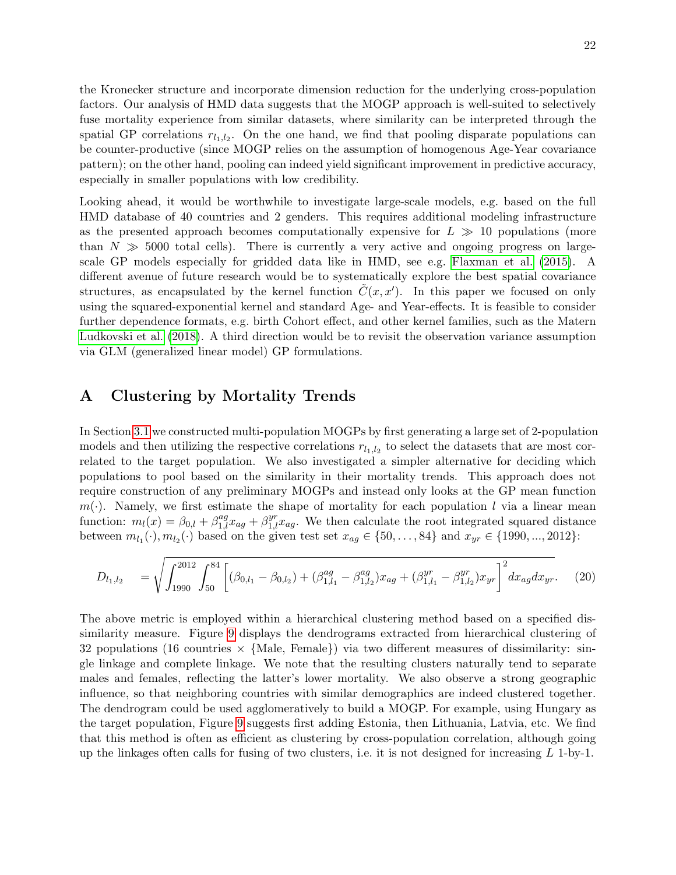the Kronecker structure and incorporate dimension reduction for the underlying cross-population factors. Our analysis of HMD data suggests that the MOGP approach is well-suited to selectively fuse mortality experience from similar datasets, where similarity can be interpreted through the spatial GP correlations  $r_{l_1,l_2}$ . On the one hand, we find that pooling disparate populations can be counter-productive (since MOGP relies on the assumption of homogenous Age-Year covariance pattern); on the other hand, pooling can indeed yield significant improvement in predictive accuracy, especially in smaller populations with low credibility.

Looking ahead, it would be worthwhile to investigate large-scale models, e.g. based on the full HMD database of 40 countries and 2 genders. This requires additional modeling infrastructure as the presented approach becomes computationally expensive for  $L \gg 10$  populations (more than  $N \gg 5000$  total cells). There is currently a very active and ongoing progress on largescale GP models especially for gridded data like in HMD, see e.g. [Flaxman et al. \(2015\)](#page-24-20). A different avenue of future research would be to systematically explore the best spatial covariance structures, as encapsulated by the kernel function  $\tilde{C}(x, x')$ . In this paper we focused on only using the squared-exponential kernel and standard Age- and Year-effects. It is feasible to consider further dependence formats, e.g. birth Cohort effect, and other kernel families, such as the Matern [Ludkovski et al. \(2018\)](#page-25-0). A third direction would be to revisit the observation variance assumption via GLM (generalized linear model) GP formulations.

## <span id="page-21-0"></span>A Clustering by Mortality Trends

In Section [3.1](#page-14-0) we constructed multi-population MOGPs by first generating a large set of 2-population models and then utilizing the respective correlations  $r_{l_1,l_2}$  to select the datasets that are most correlated to the target population. We also investigated a simpler alternative for deciding which populations to pool based on the similarity in their mortality trends. This approach does not require construction of any preliminary MOGPs and instead only looks at the GP mean function  $m(\cdot)$ . Namely, we first estimate the shape of mortality for each population l via a linear mean function:  $m_l(x) = \beta_{0,l} + \beta_{1,l}^{ag} x_{ag} + \beta_{1,l}^{yr} x_{ag}$ . We then calculate the root integrated squared distance between  $m_{l_1}(\cdot), m_{l_2}(\cdot)$  based on the given test set  $x_{ag} \in \{50, ..., 84\}$  and  $x_{yr} \in \{1990, ..., 2012\}$ :

<span id="page-21-1"></span>
$$
D_{l_1,l_2} = \sqrt{\int_{1990}^{2012} \int_{50}^{84} \left[ (\beta_{0,l_1} - \beta_{0,l_2}) + (\beta_{1,l_1}^{ag} - \beta_{1,l_2}^{ag}) x_{ag} + (\beta_{1,l_1}^{yr} - \beta_{1,l_2}^{yr}) x_{yr} \right]^2} dx_{ag} dx_{yr}.
$$
 (20)

The above metric is employed within a hierarchical clustering method based on a specified dissimilarity measure. Figure [9](#page-22-4) displays the dendrograms extracted from hierarchical clustering of 32 populations (16 countries  $\times$  {Male, Female}) via two different measures of dissimilarity: single linkage and complete linkage. We note that the resulting clusters naturally tend to separate males and females, reflecting the latter's lower mortality. We also observe a strong geographic influence, so that neighboring countries with similar demographics are indeed clustered together. The dendrogram could be used agglomeratively to build a MOGP. For example, using Hungary as the target population, Figure [9](#page-22-4) suggests first adding Estonia, then Lithuania, Latvia, etc. We find that this method is often as efficient as clustering by cross-population correlation, although going up the linkages often calls for fusing of two clusters, i.e. it is not designed for increasing  $L$  1-by-1.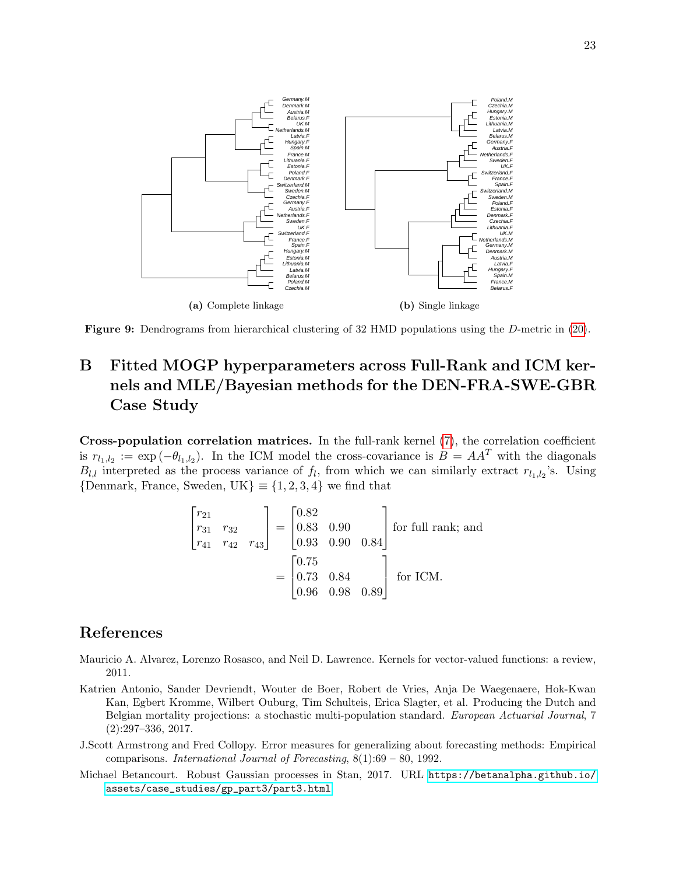<span id="page-22-4"></span>



# B Fitted MOGP hyperparameters across Full-Rank and ICM kernels and MLE/Bayesian methods for the DEN-FRA-SWE-GBR Case Study

Cross-population correlation matrices. In the full-rank kernel [\(7\)](#page-6-0), the correlation coefficient is  $r_{l_1,l_2} := \exp(-\theta_{l_1,l_2})$ . In the ICM model the cross-covariance is  $B = AA^T$  with the diagonals  $B_{l,l}$  interpreted as the process variance of  $f_l$ , from which we can similarly extract  $r_{l_1,l_2}$ 's. Using  ${Denmark, France, Sweden, UK} \equiv {1, 2, 3, 4}$  we find that

$$
\begin{bmatrix} r_{21} \\ r_{31} & r_{32} \\ r_{41} & r_{42} & r_{43} \end{bmatrix} = \begin{bmatrix} 0.82 \\ 0.83 & 0.90 \\ 0.93 & 0.90 & 0.84 \end{bmatrix}
$$
 for full rank; and  

$$
= \begin{bmatrix} 0.75 \\ 0.73 & 0.84 \\ 0.96 & 0.98 & 0.89 \end{bmatrix}
$$
 for ICM.

# References

- <span id="page-22-1"></span>Mauricio A. Alvarez, Lorenzo Rosasco, and Neil D. Lawrence. Kernels for vector-valued functions: a review, 2011.
- <span id="page-22-0"></span>Katrien Antonio, Sander Devriendt, Wouter de Boer, Robert de Vries, Anja De Waegenaere, Hok-Kwan Kan, Egbert Kromme, Wilbert Ouburg, Tim Schulteis, Erica Slagter, et al. Producing the Dutch and Belgian mortality projections: a stochastic multi-population standard. European Actuarial Journal, 7 (2):297–336, 2017.
- <span id="page-22-3"></span>J.Scott Armstrong and Fred Collopy. Error measures for generalizing about forecasting methods: Empirical comparisons. *International Journal of Forecasting*,  $8(1):69 - 80$ , 1992.
- <span id="page-22-2"></span>Michael Betancourt. Robust Gaussian processes in Stan, 2017. URL [https://betanalpha.github.io/](https://betanalpha.github.io/assets/case_studies/gp_part3/part3.html) [assets/case\\_studies/gp\\_part3/part3.html](https://betanalpha.github.io/assets/case_studies/gp_part3/part3.html).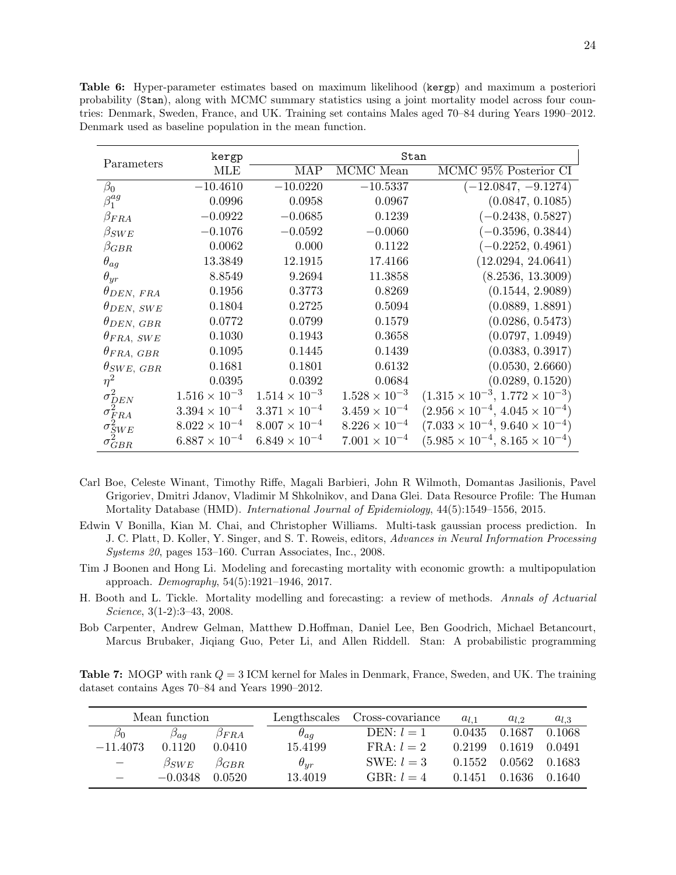| Parameters                           | kergp                  |                        | Stan                   |                                                |
|--------------------------------------|------------------------|------------------------|------------------------|------------------------------------------------|
|                                      | <b>MLE</b>             | <b>MAP</b>             | MCMC Mean              | MCMC 95% Posterior CI                          |
| $\beta_0$                            | $-10.4610$             | $-10.0220$             | $-10.5337$             | $(-12.0847, -9.1274)$                          |
| $\beta_1^{ag}$                       | 0.0996                 | 0.0958                 | 0.0967                 | (0.0847, 0.1085)                               |
| $\beta_{FRA}$                        | $-0.0922$              | $-0.0685$              | 0.1239                 | $(-0.2438, 0.5827)$                            |
| $\beta_{SWE}$                        | $-0.1076$              | $-0.0592$              | $-0.0060$              | $-0.3596, 0.3844)$                             |
| $\beta_{GBR}$                        | 0.0062                 | 0.000                  | 0.1122                 | $(-0.2252, 0.4961)$                            |
| $\theta_{ag}$                        | 13.3849                | 12.1915                | 17.4166                | (12.0294, 24.0641)                             |
| $\theta_{yr}$                        | 8.8549                 | 9.2694                 | 11.3858                | (8.2536, 13.3009)                              |
| $\theta_{DEN, FRA}$                  | 0.1956                 | 0.3773                 | 0.8269                 | (0.1544, 2.9089)                               |
| $\theta_{DEN,SWE}$                   | 0.1804                 | 0.2725                 | 0.5094                 | (0.0889, 1.8891)                               |
| $\theta_{DEN, GBR}$                  | 0.0772                 | 0.0799                 | 0.1579                 | (0.0286, 0.5473)                               |
| $\theta_{FRA, \; SWE}$               | 0.1030                 | 0.1943                 | 0.3658                 | (0.0797, 1.0949)                               |
| $\theta_{FRA, GBR}$                  | 0.1095                 | 0.1445                 | 0.1439                 | (0.0383, 0.3917)                               |
| $\theta_{SWE, GBR}$                  | 0.1681                 | 0.1801                 | 0.6132                 | (0.0530, 2.6660)                               |
| $\eta^2$                             | 0.0395                 | 0.0392                 | 0.0684                 | (0.0289, 0.1520)                               |
| $\sigma_{DEN}^2$                     | $1.516 \times 10^{-3}$ | $1.514 \times 10^{-3}$ | $1.528 \times 10^{-3}$ | $(1.315 \times 10^{-3}, 1.772 \times 10^{-3})$ |
| $\sigma_{FRA}^{\overleftarrow{2}}$   | $3.394 \times 10^{-4}$ | $3.371 \times 10^{-4}$ | $3.459 \times 10^{-4}$ | $(2.956 \times 10^{-4}, 4.045 \times 10^{-4})$ |
|                                      | $8.022 \times 10^{-4}$ | $8.007 \times 10^{-4}$ | $8.226 \times 10^{-4}$ | $(7.033 \times 10^{-4}, 9.640 \times 10^{-4})$ |
| $\sigma_{SWE}^2$<br>$\sigma_{GBR}^2$ | $6.887 \times 10^{-4}$ | $6.849 \times 10^{-4}$ | $7.001 \times 10^{-4}$ | $(5.985 \times 10^{-4}, 8.165 \times 10^{-4})$ |

<span id="page-23-4"></span>Table 6: Hyper-parameter estimates based on maximum likelihood (kergp) and maximum a posteriori probability (Stan), along with MCMC summary statistics using a joint mortality model across four countries: Denmark, Sweden, France, and UK. Training set contains Males aged 70–84 during Years 1990–2012. Denmark used as baseline population in the mean function.

- <span id="page-23-2"></span>Carl Boe, Celeste Winant, Timothy Riffe, Magali Barbieri, John R Wilmoth, Domantas Jasilionis, Pavel Grigoriev, Dmitri Jdanov, Vladimir M Shkolnikov, and Dana Glei. Data Resource Profile: The Human Mortality Database (HMD). International Journal of Epidemiology, 44(5):1549–1556, 2015.
- <span id="page-23-0"></span>Edwin V Bonilla, Kian M. Chai, and Christopher Williams. Multi-task gaussian process prediction. In J. C. Platt, D. Koller, Y. Singer, and S. T. Roweis, editors, Advances in Neural Information Processing Systems 20, pages 153–160. Curran Associates, Inc., 2008.
- <span id="page-23-1"></span>Tim J Boonen and Hong Li. Modeling and forecasting mortality with economic growth: a multipopulation approach. Demography, 54(5):1921–1946, 2017.
- <span id="page-23-5"></span>H. Booth and L. Tickle. Mortality modelling and forecasting: a review of methods. Annals of Actuarial Science, 3(1-2):3–43, 2008.
- <span id="page-23-3"></span>Bob Carpenter, Andrew Gelman, Matthew D.Hoffman, Daniel Lee, Ben Goodrich, Michael Betancourt, Marcus Brubaker, Jiqiang Guo, Peter Li, and Allen Riddell. Stan: A probabilistic programming

**Table 7:** MOGP with rank  $Q = 3$  ICM kernel for Males in Denmark, France, Sweden, and UK. The training dataset contains Ages 70–84 and Years 1990–2012.

|                                   | Mean function |               | Lengthscales  | Cross-covariance    | $a_{l,1}$ | $a_{l,2}$ | $a_{l,3}$ |
|-----------------------------------|---------------|---------------|---------------|---------------------|-----------|-----------|-----------|
| $\beta_0$                         | $a_{a}$       | $\beta_{FRA}$ | $\theta_{aq}$ | $DEFN: l = 1$       | 0.0435    | 0.1687    | 0.1068    |
| $-11.4073$                        | 0.1120        | 0.0410        | 15.4199       | $\text{FRA}: l = 2$ | 0.2199    | 0.1619    | 0.0491    |
| $\overbrace{\phantom{123221111}}$ | $\beta_{SWE}$ | $\beta_{GRR}$ | $\theta_{ur}$ | SWE: $l = 3$        | 0.1552    | 0.0562    | 0.1683    |
|                                   | $-0.0348$     | 0.0520        | 13.4019       | $\text{GBR}: l = 4$ | 0.1451    | 0.1636    | 0.1640    |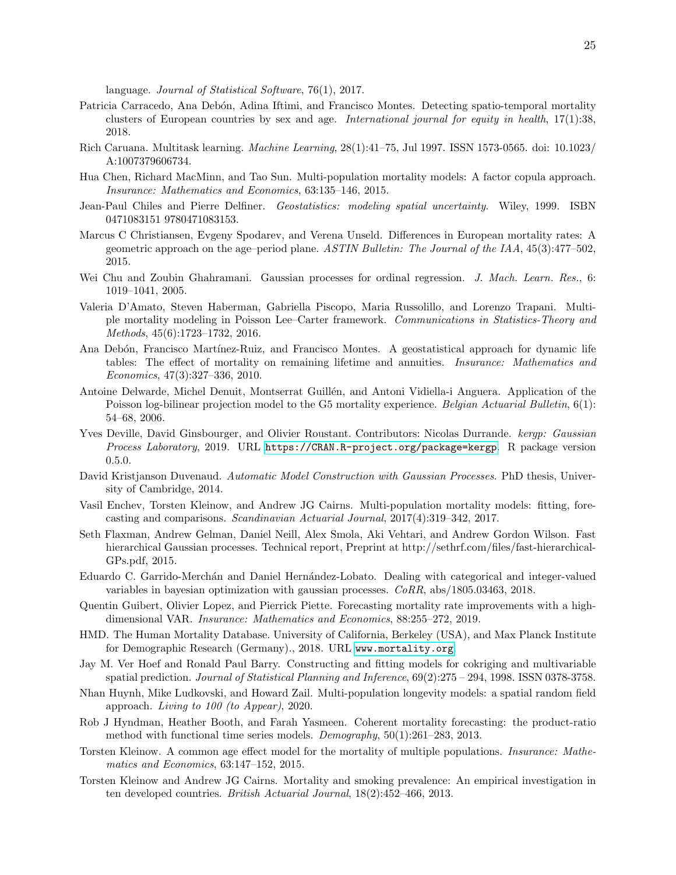language. Journal of Statistical Software, 76(1), 2017.

- <span id="page-24-8"></span>Patricia Carracedo, Ana Debón, Adina Iftimi, and Francisco Montes. Detecting spatio-temporal mortality clusters of European countries by sex and age. International journal for equity in health,  $17(1):38$ , 2018.
- <span id="page-24-5"></span>Rich Caruana. Multitask learning. Machine Learning, 28(1):41–75, Jul 1997. ISSN 1573-0565. doi: 10.1023/ A:1007379606734.
- <span id="page-24-16"></span>Hua Chen, Richard MacMinn, and Tao Sun. Multi-population mortality models: A factor copula approach. Insurance: Mathematics and Economics, 63:135–146, 2015.
- <span id="page-24-17"></span>Jean-Paul Chiles and Pierre Delfiner. Geostatistics: modeling spatial uncertainty. Wiley, 1999. ISBN 0471083151 9780471083153.
- <span id="page-24-6"></span>Marcus C Christiansen, Evgeny Spodarev, and Verena Unseld. Differences in European mortality rates: A geometric approach on the age–period plane. ASTIN Bulletin: The Journal of the IAA,  $45(3):477-502$ , 2015.
- <span id="page-24-3"></span>Wei Chu and Zoubin Ghahramani. Gaussian processes for ordinal regression. J. Mach. Learn. Res., 6: 1019–1041, 2005.
- <span id="page-24-14"></span>Valeria D'Amato, Steven Haberman, Gabriella Piscopo, Maria Russolillo, and Lorenzo Trapani. Multiple mortality modeling in Poisson Lee–Carter framework. Communications in Statistics-Theory and Methods, 45(6):1723–1732, 2016.
- <span id="page-24-7"></span>Ana Debón, Francisco Martínez-Ruiz, and Francisco Montes. A geostatistical approach for dynamic life tables: The effect of mortality on remaining lifetime and annuities. *Insurance: Mathematics and* Economics, 47(3):327–336, 2010.
- <span id="page-24-11"></span>Antoine Delwarde, Michel Denuit, Montserrat Guillén, and Antoni Vidiella-i Anguera. Application of the Poisson log-bilinear projection model to the G5 mortality experience. Belgian Actuarial Bulletin, 6(1): 54–68, 2006.
- <span id="page-24-19"></span>Yves Deville, David Ginsbourger, and Olivier Roustant. Contributors: Nicolas Durrande. kergp: Gaussian Process Laboratory, 2019. URL <https://CRAN.R-project.org/package=kergp>. R package version 0.5.0.
- <span id="page-24-2"></span>David Kristjanson Duvenaud. Automatic Model Construction with Gaussian Processes. PhD thesis, University of Cambridge, 2014.
- <span id="page-24-12"></span>Vasil Enchev, Torsten Kleinow, and Andrew JG Cairns. Multi-population mortality models: fitting, forecasting and comparisons. Scandinavian Actuarial Journal, 2017(4):319–342, 2017.
- <span id="page-24-20"></span>Seth Flaxman, Andrew Gelman, Daniel Neill, Alex Smola, Aki Vehtari, and Andrew Gordon Wilson. Fast hierarchical Gaussian processes. Technical report, Preprint at http://sethrf.com/files/fast-hierarchical-GPs.pdf, 2015.
- <span id="page-24-4"></span>Eduardo C. Garrido-Merch´an and Daniel Hern´andez-Lobato. Dealing with categorical and integer-valued variables in bayesian optimization with gaussian processes. CoRR, abs/1805.03463, 2018.
- <span id="page-24-15"></span>Quentin Guibert, Olivier Lopez, and Pierrick Piette. Forecasting mortality rate improvements with a highdimensional VAR. Insurance: Mathematics and Economics, 88:255–272, 2019.
- <span id="page-24-0"></span>HMD. The Human Mortality Database. University of California, Berkeley (USA), and Max Planck Institute for Demographic Research (Germany)., 2018. URL <www.mortality.org>.
- <span id="page-24-18"></span>Jay M. Ver Hoef and Ronald Paul Barry. Constructing and fitting models for cokriging and multivariable spatial prediction. Journal of Statistical Planning and Inference,  $69(2):275 - 294$ , 1998. ISSN 0378-3758.
- <span id="page-24-1"></span>Nhan Huynh, Mike Ludkovski, and Howard Zail. Multi-population longevity models: a spatial random field approach. Living to 100 (to Appear), 2020.
- <span id="page-24-13"></span>Rob J Hyndman, Heather Booth, and Farah Yasmeen. Coherent mortality forecasting: the product-ratio method with functional time series models. Demography, 50(1):261–283, 2013.
- <span id="page-24-10"></span>Torsten Kleinow. A common age effect model for the mortality of multiple populations. Insurance: Mathematics and Economics, 63:147–152, 2015.
- <span id="page-24-9"></span>Torsten Kleinow and Andrew JG Cairns. Mortality and smoking prevalence: An empirical investigation in ten developed countries. British Actuarial Journal, 18(2):452–466, 2013.